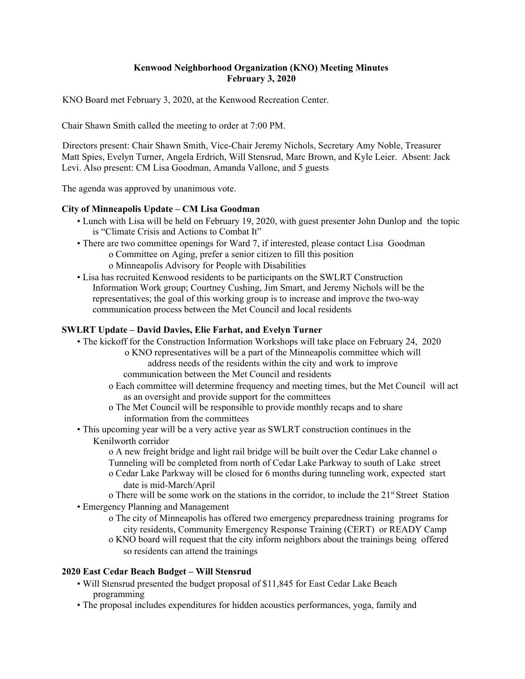# **Kenwood Neighborhood Organization (KNO) Meeting Minutes February 3, 2020**

KNO Board met February 3, 2020, at the Kenwood Recreation Center.

Chair Shawn Smith called the meeting to order at 7:00 PM.

Directors present: Chair Shawn Smith, Vice-Chair Jeremy Nichols, Secretary Amy Noble, Treasurer Matt Spies, Evelyn Turner, Angela Erdrich, Will Stensrud, Marc Brown, and Kyle Leier. Absent: Jack Levi. Also present: CM Lisa Goodman, Amanda Vallone, and 5 guests

The agenda was approved by unanimous vote.

### **City of Minneapolis Update – CM Lisa Goodman**

- Lunch with Lisa will be held on February 19, 2020, with guest presenter John Dunlop and the topic is "Climate Crisis and Actions to Combat It"
- There are two committee openings for Ward 7, if interested, please contact Lisa Goodman o Committee on Aging, prefer a senior citizen to fill this position o Minneapolis Advisory for People with Disabilities
- Lisa has recruited Kenwood residents to be participants on the SWLRT Construction Information Work group; Courtney Cushing, Jim Smart, and Jeremy Nichols will be the representatives; the goal of this working group is to increase and improve the two-way communication process between the Met Council and local residents

### **SWLRT Update – David Davies, Elie Farhat, and Evelyn Turner**

- The kickoff for the Construction Information Workshops will take place on February 24, 2020
	- o KNO representatives will be a part of the Minneapolis committee which will address needs of the residents within the city and work to improve
	- communication between the Met Council and residents
	- o Each committee will determine frequency and meeting times, but the Met Council will act as an oversight and provide support for the committees
	- o The Met Council will be responsible to provide monthly recaps and to share information from the committees
- This upcoming year will be a very active year as SWLRT construction continues in the Kenilworth corridor

o A new freight bridge and light rail bridge will be built over the Cedar Lake channel o Tunneling will be completed from north of Cedar Lake Parkway to south of Lake street

o Cedar Lake Parkway will be closed for 6 months during tunneling work, expected start date is mid-March/April

o There will be some work on the stations in the corridor, to include the 21<sup>st</sup> Street Station • Emergency Planning and Management

- o The city of Minneapolis has offered two emergency preparedness training programs for city residents, Community Emergency Response Training (CERT) or READY Camp
- o KNO board will request that the city inform neighbors about the trainings being offered so residents can attend the trainings

### **2020 East Cedar Beach Budget – Will Stensrud**

- Will Stensrud presented the budget proposal of \$11,845 for East Cedar Lake Beach programming
- The proposal includes expenditures for hidden acoustics performances, yoga, family and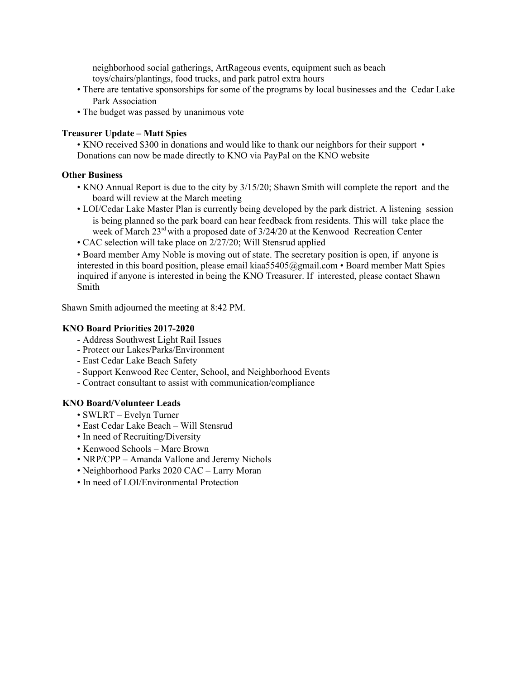neighborhood social gatherings, ArtRageous events, equipment such as beach toys/chairs/plantings, food trucks, and park patrol extra hours

- There are tentative sponsorships for some of the programs by local businesses and the Cedar Lake Park Association
- The budget was passed by unanimous vote

## **Treasurer Update – Matt Spies**

• KNO received \$300 in donations and would like to thank our neighbors for their support • Donations can now be made directly to KNO via PayPal on the KNO website

### **Other Business**

- KNO Annual Report is due to the city by 3/15/20; Shawn Smith will complete the report and the board will review at the March meeting
- LOI/Cedar Lake Master Plan is currently being developed by the park district. A listening session is being planned so the park board can hear feedback from residents. This will take place the week of March 23<sup>rd</sup> with a proposed date of 3/24/20 at the Kenwood Recreation Center
- CAC selection will take place on 2/27/20; Will Stensrud applied

• Board member Amy Noble is moving out of state. The secretary position is open, if anyone is interested in this board position, please email kiaa55405@gmail.com • Board member Matt Spies inquired if anyone is interested in being the KNO Treasurer. If interested, please contact Shawn Smith

Shawn Smith adjourned the meeting at 8:42 PM.

### **KNO Board Priorities 2017-2020**

- Address Southwest Light Rail Issues
- Protect our Lakes/Parks/Environment
- East Cedar Lake Beach Safety
- Support Kenwood Rec Center, School, and Neighborhood Events
- Contract consultant to assist with communication/compliance

# **KNO Board/Volunteer Leads**

- SWLRT Evelyn Turner
- East Cedar Lake Beach Will Stensrud
- In need of Recruiting/Diversity
- Kenwood Schools Marc Brown
- NRP/CPP Amanda Vallone and Jeremy Nichols
- Neighborhood Parks 2020 CAC Larry Moran
- In need of LOI/Environmental Protection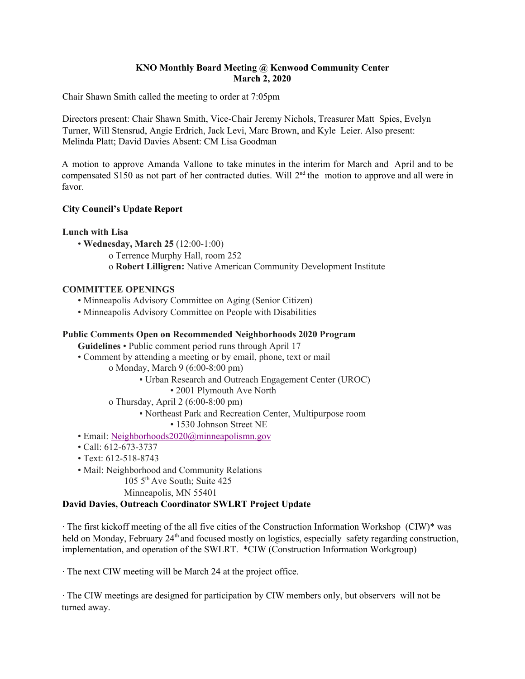# **KNO Monthly Board Meeting @ Kenwood Community Center March 2, 2020**

Chair Shawn Smith called the meeting to order at 7:05pm

Directors present: Chair Shawn Smith, Vice-Chair Jeremy Nichols, Treasurer Matt Spies, Evelyn Turner, Will Stensrud, Angie Erdrich, Jack Levi, Marc Brown, and Kyle Leier. Also present: Melinda Platt; David Davies Absent: CM Lisa Goodman

A motion to approve Amanda Vallone to take minutes in the interim for March and April and to be compensated \$150 as not part of her contracted duties. Will  $2<sup>nd</sup>$  the motion to approve and all were in favor.

# **City Council's Update Report**

## **Lunch with Lisa**

- **Wednesday, March 25** (12:00-1:00)
	- o Terrence Murphy Hall, room 252
	- o **Robert Lilligren:** Native American Community Development Institute

## **COMMITTEE OPENINGS**

- Minneapolis Advisory Committee on Aging (Senior Citizen)
- Minneapolis Advisory Committee on People with Disabilities

### **Public Comments Open on Recommended Neighborhoods 2020 Program**

**Guidelines** • Public comment period runs through April 17

- Comment by attending a meeting or by email, phone, text or mail
	- o Monday, March 9 (6:00-8:00 pm)
		- Urban Research and Outreach Engagement Center (UROC)
			- 2001 Plymouth Ave North
	- o Thursday, April 2 (6:00-8:00 pm)
		- Northeast Park and Recreation Center, Multipurpose room
			- 1530 Johnson Street NE
- Email: Neighborhoods2020@minneapolismn.gov
- Call: 612-673-3737
- Text: 612-518-8743
- Mail: Neighborhood and Community Relations
	- 105 5 th Ave South; Suite 425
	- Minneapolis, MN 55401

# **David Davies, Outreach Coordinator SWLRT Project Update**

 $\cdot$  The first kickoff meeting of the all five cities of the Construction Information Workshop (CIW)\* was held on Monday, February 24<sup>th</sup> and focused mostly on logistics, especially safety regarding construction, implementation, and operation of the SWLRT. \*CIW (Construction Information Workgroup)

· The next CIW meeting will be March 24 at the project office.

· The CIW meetings are designed for participation by CIW members only, but observers will not be turned away.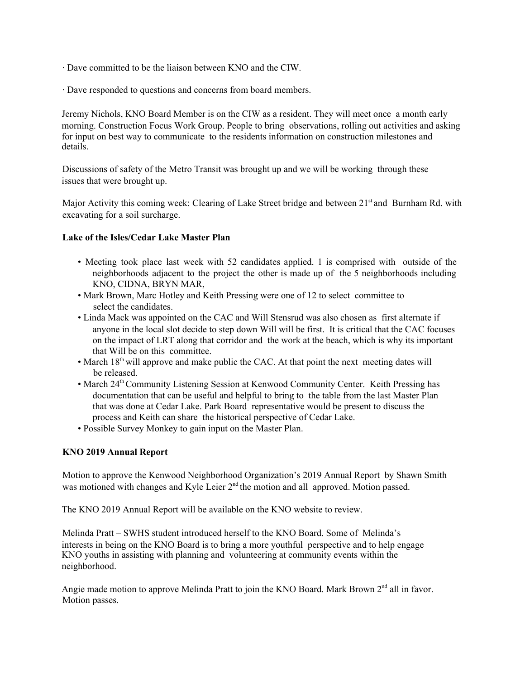- · Dave committed to be the liaison between KNO and the CIW.
- · Dave responded to questions and concerns from board members.

Jeremy Nichols, KNO Board Member is on the CIW as a resident. They will meet once a month early morning. Construction Focus Work Group. People to bring observations, rolling out activities and asking for input on best way to communicate to the residents information on construction milestones and details.

Discussions of safety of the Metro Transit was brought up and we will be working through these issues that were brought up.

Major Activity this coming week: Clearing of Lake Street bridge and between 21<sup>st</sup> and Burnham Rd. with excavating for a soil surcharge.

## **Lake of the Isles/Cedar Lake Master Plan**

- Meeting took place last week with 52 candidates applied. 1 is comprised with outside of the neighborhoods adjacent to the project the other is made up of the 5 neighborhoods including KNO, CIDNA, BRYN MAR,
- Mark Brown, Marc Hotley and Keith Pressing were one of 12 to select committee to select the candidates.
- Linda Mack was appointed on the CAC and Will Stensrud was also chosen as first alternate if anyone in the local slot decide to step down Will will be first. It is critical that the CAC focuses on the impact of LRT along that corridor and the work at the beach, which is why its important that Will be on this committee.
- March  $18<sup>th</sup>$  will approve and make public the CAC. At that point the next meeting dates will be released.
- March 24<sup>th</sup> Community Listening Session at Kenwood Community Center. Keith Pressing has documentation that can be useful and helpful to bring to the table from the last Master Plan that was done at Cedar Lake. Park Board representative would be present to discuss the process and Keith can share the historical perspective of Cedar Lake.
- Possible Survey Monkey to gain input on the Master Plan.

# **KNO 2019 Annual Report**

Motion to approve the Kenwood Neighborhood Organization's 2019 Annual Report by Shawn Smith was motioned with changes and Kyle Leier 2<sup>nd</sup> the motion and all approved. Motion passed.

The KNO 2019 Annual Report will be available on the KNO website to review.

Melinda Pratt – SWHS student introduced herself to the KNO Board. Some of Melinda's interests in being on the KNO Board is to bring a more youthful perspective and to help engage KNO youths in assisting with planning and volunteering at community events within the neighborhood.

Angie made motion to approve Melinda Pratt to join the KNO Board. Mark Brown 2<sup>nd</sup> all in favor. Motion passes.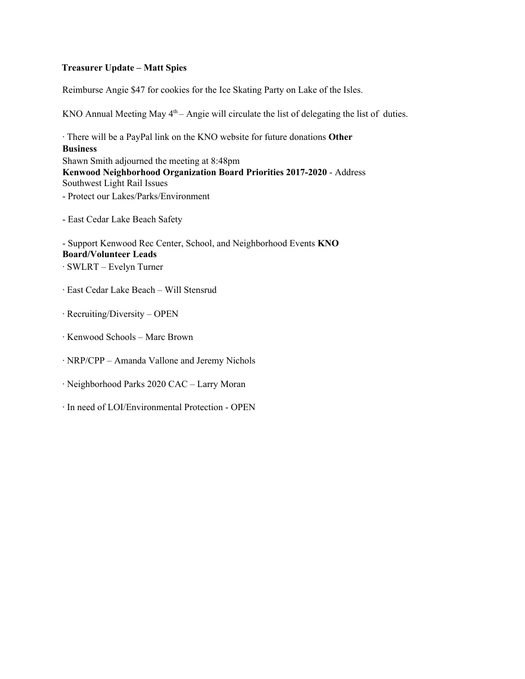## **Treasurer Update – Matt Spies**

Reimburse Angie \$47 for cookies for the Ice Skating Party on Lake of the Isles.

KNO Annual Meeting May  $4<sup>th</sup>$  – Angie will circulate the list of delegating the list of duties.

· There will be a PayPal link on the KNO website for future donations **Other Business** Shawn Smith adjourned the meeting at 8:48pm **Kenwood Neighborhood Organization Board Priorities 2017-2020** - Address Southwest Light Rail Issues - Protect our Lakes/Parks/Environment

- East Cedar Lake Beach Safety

- Support Kenwood Rec Center, School, and Neighborhood Events **KNO Board/Volunteer Leads**

- · SWLRT Evelyn Turner
- · East Cedar Lake Beach Will Stensrud
- · Recruiting/Diversity OPEN
- · Kenwood Schools Marc Brown
- · NRP/CPP Amanda Vallone and Jeremy Nichols
- · Neighborhood Parks 2020 CAC Larry Moran
- · In need of LOI/Environmental Protection OPEN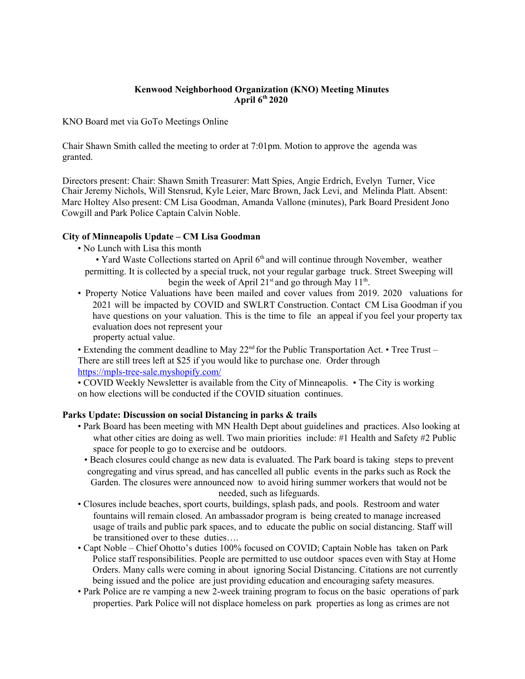### **Kenwood Neighborhood Organization (KNO) Meeting Minutes April 6 th 2020**

KNO Board met via GoTo Meetings Online

Chair Shawn Smith called the meeting to order at 7:01pm. Motion to approve the agenda was granted.

Directors present: Chair: Shawn Smith Treasurer: Matt Spies, Angie Erdrich, Evelyn Turner, Vice Chair Jeremy Nichols, Will Stensrud, Kyle Leier, Marc Brown, Jack Levi, and Melinda Platt. Absent: Marc Holtey Also present: CM Lisa Goodman, Amanda Vallone (minutes), Park Board President Jono Cowgill and Park Police Captain Calvin Noble.

### **City of Minneapolis Update – CM Lisa Goodman**

• No Lunch with Lisa this month

• Yard Waste Collections started on April 6<sup>th</sup> and will continue through November, weather permitting. It is collected by a special truck, not your regular garbage truck. Street Sweeping will begin the week of April  $21<sup>st</sup>$  and go through May  $11<sup>th</sup>$ .

• Property Notice Valuations have been mailed and cover values from 2019. 2020 valuations for 2021 will be impacted by COVID and SWLRT Construction. Contact CM Lisa Goodman if you have questions on your valuation. This is the time to file an appeal if you feel your property tax evaluation does not represent your property actual value.

• Extending the comment deadline to May  $22<sup>nd</sup>$  for the Public Transportation Act. • Tree Trust – There are still trees left at \$25 if you would like to purchase one. Order through https://mpls-tree-sale.myshopify.com/

• COVID Weekly Newsletter is available from the City of Minneapolis. • The City is working on how elections will be conducted if the COVID situation continues.

### **Parks Update: Discussion on social Distancing in parks & trails**

- Park Board has been meeting with MN Health Dept about guidelines and practices. Also looking at what other cities are doing as well. Two main priorities include: #1 Health and Safety #2 Public space for people to go to exercise and be outdoors.
	- Beach closures could change as new data is evaluated. The Park board is taking steps to prevent congregating and virus spread, and has cancelled all public events in the parks such as Rock the Garden. The closures were announced now to avoid hiring summer workers that would not be needed, such as lifeguards.
- Closures include beaches, sport courts, buildings, splash pads, and pools. Restroom and water fountains will remain closed. An ambassador program is being created to manage increased usage of trails and public park spaces, and to educate the public on social distancing. Staff will be transitioned over to these duties….
- Capt Noble Chief Ohotto's duties 100% focused on COVID; Captain Noble has taken on Park Police staff responsibilities. People are permitted to use outdoor spaces even with Stay at Home Orders. Many calls were coming in about ignoring Social Distancing. Citations are not currently being issued and the police are just providing education and encouraging safety measures.
- Park Police are re vamping a new 2-week training program to focus on the basic operations of park properties. Park Police will not displace homeless on park properties as long as crimes are not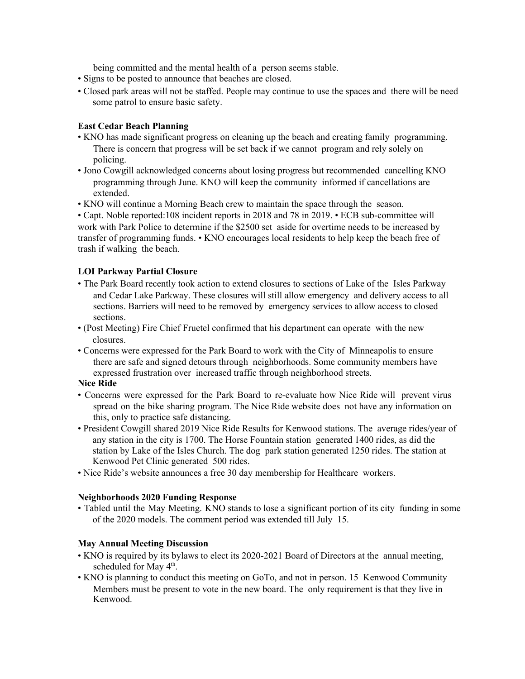being committed and the mental health of a person seems stable.

- Signs to be posted to announce that beaches are closed.
- Closed park areas will not be staffed. People may continue to use the spaces and there will be need some patrol to ensure basic safety.

## **East Cedar Beach Planning**

- KNO has made significant progress on cleaning up the beach and creating family programming. There is concern that progress will be set back if we cannot program and rely solely on policing.
- Jono Cowgill acknowledged concerns about losing progress but recommended cancelling KNO programming through June. KNO will keep the community informed if cancellations are extended.
- KNO will continue a Morning Beach crew to maintain the space through the season.

• Capt. Noble reported:108 incident reports in 2018 and 78 in 2019. • ECB sub-committee will work with Park Police to determine if the \$2500 set aside for overtime needs to be increased by transfer of programming funds. • KNO encourages local residents to help keep the beach free of trash if walking the beach.

# **LOI Parkway Partial Closure**

- The Park Board recently took action to extend closures to sections of Lake of the Isles Parkway and Cedar Lake Parkway. These closures will still allow emergency and delivery access to all sections. Barriers will need to be removed by emergency services to allow access to closed sections.
- (Post Meeting) Fire Chief Fruetel confirmed that his department can operate with the new closures.
- Concerns were expressed for the Park Board to work with the City of Minneapolis to ensure there are safe and signed detours through neighborhoods. Some community members have expressed frustration over increased traffic through neighborhood streets.

### **Nice Ride**

- Concerns were expressed for the Park Board to re-evaluate how Nice Ride will prevent virus spread on the bike sharing program. The Nice Ride website does not have any information on this, only to practice safe distancing.
- President Cowgill shared 2019 Nice Ride Results for Kenwood stations. The average rides/year of any station in the city is 1700. The Horse Fountain station generated 1400 rides, as did the station by Lake of the Isles Church. The dog park station generated 1250 rides. The station at Kenwood Pet Clinic generated 500 rides.
- Nice Ride's website announces a free 30 day membership for Healthcare workers.

### **Neighborhoods 2020 Funding Response**

• Tabled until the May Meeting. KNO stands to lose a significant portion of its city funding in some of the 2020 models. The comment period was extended till July 15.

### **May Annual Meeting Discussion**

- KNO is required by its bylaws to elect its 2020-2021 Board of Directors at the annual meeting, scheduled for May 4<sup>th</sup>.
- KNO is planning to conduct this meeting on GoTo, and not in person. 15 Kenwood Community Members must be present to vote in the new board. The only requirement is that they live in Kenwood.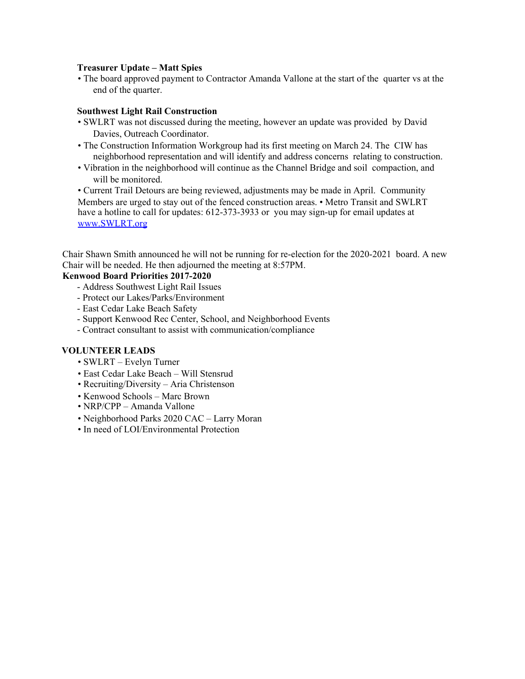### **Treasurer Update – Matt Spies**

• The board approved payment to Contractor Amanda Vallone at the start of the quarter vs at the end of the quarter.

#### **Southwest Light Rail Construction**

- SWLRT was not discussed during the meeting, however an update was provided by David Davies, Outreach Coordinator.
- The Construction Information Workgroup had its first meeting on March 24. The CIW has neighborhood representation and will identify and address concerns relating to construction.
- Vibration in the neighborhood will continue as the Channel Bridge and soil compaction, and will be monitored.

• Current Trail Detours are being reviewed, adjustments may be made in April. Community Members are urged to stay out of the fenced construction areas. • Metro Transit and SWLRT have a hotline to call for updates: 612-373-3933 or you may sign-up for email updates at www.SWLRT.org

Chair Shawn Smith announced he will not be running for re-election for the 2020-2021 board. A new Chair will be needed. He then adjourned the meeting at 8:57PM.

### **Kenwood Board Priorities 2017-2020**

- Address Southwest Light Rail Issues
- Protect our Lakes/Parks/Environment
- East Cedar Lake Beach Safety
- Support Kenwood Rec Center, School, and Neighborhood Events
- Contract consultant to assist with communication/compliance

#### **VOLUNTEER LEADS**

- SWLRT Evelyn Turner
- East Cedar Lake Beach Will Stensrud
- Recruiting/Diversity Aria Christenson
- Kenwood Schools Marc Brown
- NRP/CPP Amanda Vallone
- Neighborhood Parks 2020 CAC Larry Moran
- In need of LOI/Environmental Protection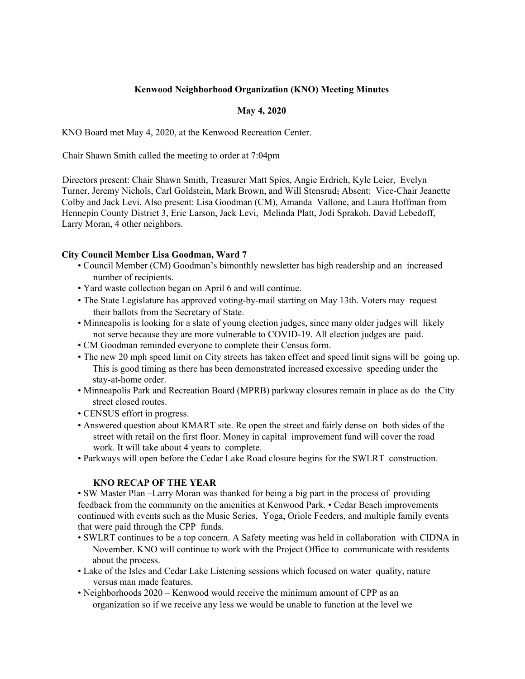# **Kenwood Neighborhood Organization (KNO) Meeting Minutes**

# **May 4, 2020**

KNO Board met May 4, 2020, at the Kenwood Recreation Center.

Chair Shawn Smith called the meeting to order at 7:04pm

Directors present: Chair Shawn Smith, Treasurer Matt Spies, Angie Erdrich, Kyle Leier, Evelyn Turner, Jeremy Nichols, Carl Goldstein, Mark Brown, and Will Stensrud; Absent: Vice-Chair Jeanette Colby and Jack Levi. Also present: Lisa Goodman (CM), Amanda Vallone, and Laura Hoffman from Hennepin County District 3, Eric Larson, Jack Levi, Melinda Platt, Jodi Sprakoh, David Lebedoff, Larry Moran, 4 other neighbors.

# **City Council Member Lisa Goodman, Ward 7**

- Council Member (CM) Goodman's bimonthly newsletter has high readership and an increased number of recipients.
- Yard waste collection began on April 6 and will continue.
- The State Legislature has approved voting-by-mail starting on May 13th. Voters may request their ballots from the Secretary of State.
- Minneapolis is looking for a slate of young election judges, since many older judges will likely not serve because they are more vulnerable to COVID-19. All election judges are paid.
- CM Goodman reminded everyone to complete their Census form.
- The new 20 mph speed limit on City streets has taken effect and speed limit signs will be going up. This is good timing as there has been demonstrated increased excessive speeding under the stay-at-home order.
- Minneapolis Park and Recreation Board (MPRB) parkway closures remain in place as do the City street closed routes.
- CENSUS effort in progress.
- Answered question about KMART site. Re open the street and fairly dense on both sides of the street with retail on the first floor. Money in capital improvement fund will cover the road work. It will take about 4 years to complete.
- Parkways will open before the Cedar Lake Road closure begins for the SWLRT construction.

# **KNO RECAP OF THE YEAR**

• SW Master Plan –Larry Moran was thanked for being a big part in the process of providing feedback from the community on the amenities at Kenwood Park. • Cedar Beach improvements continued with events such as the Music Series, Yoga, Oriole Feeders, and multiple family events that were paid through the CPP funds.

- SWLRT continues to be a top concern. A Safety meeting was held in collaboration with CIDNA in November. KNO will continue to work with the Project Office to communicate with residents about the process.
- Lake of the Isles and Cedar Lake Listening sessions which focused on water quality, nature versus man made features.
- Neighborhoods 2020 Kenwood would receive the minimum amount of CPP as an organization so if we receive any less we would be unable to function at the level we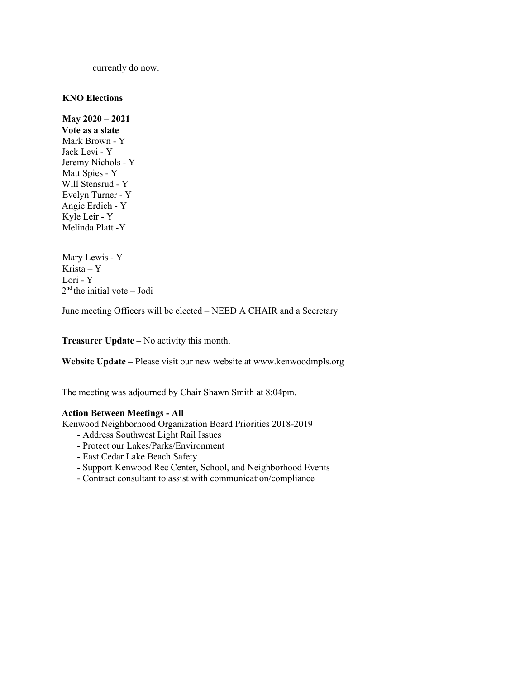currently do now.

#### **KNO Elections**

**May 2020 – 2021 Vote as a slate** Mark Brown - Y Jack Levi - Y Jeremy Nichols - Y Matt Spies - Y Will Stensrud - Y Evelyn Turner - Y Angie Erdich - Y Kyle Leir - Y Melinda Platt -Y

Mary Lewis - Y Krista – Y Lori - Y 2<sup>nd</sup> the initial vote – Jodi

June meeting Officers will be elected – NEED A CHAIR and a Secretary

**Treasurer Update –** No activity this month.

**Website Update –** Please visit our new website at www.kenwoodmpls.org

The meeting was adjourned by Chair Shawn Smith at 8:04pm.

#### **Action Between Meetings - All**

Kenwood Neighborhood Organization Board Priorities 2018-2019

- Address Southwest Light Rail Issues
- Protect our Lakes/Parks/Environment
- East Cedar Lake Beach Safety
- Support Kenwood Rec Center, School, and Neighborhood Events
- Contract consultant to assist with communication/compliance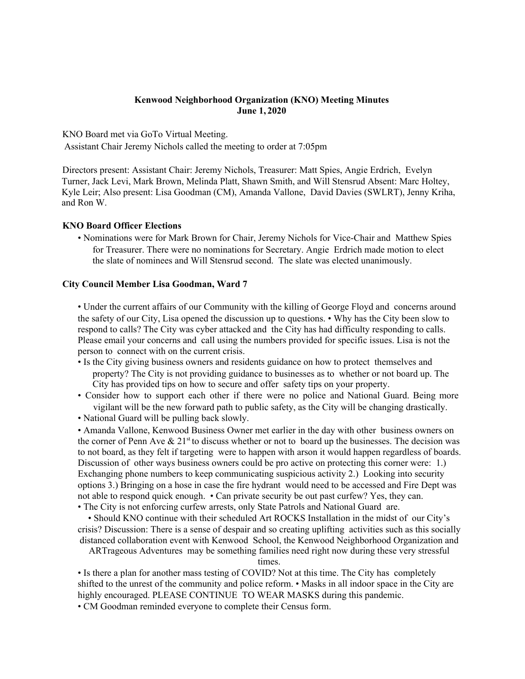#### **Kenwood Neighborhood Organization (KNO) Meeting Minutes June 1, 2020**

KNO Board met via GoTo Virtual Meeting.

Assistant Chair Jeremy Nichols called the meeting to order at 7:05pm

Directors present: Assistant Chair: Jeremy Nichols, Treasurer: Matt Spies, Angie Erdrich, Evelyn Turner, Jack Levi, Mark Brown, Melinda Platt, Shawn Smith, and Will Stensrud Absent: Marc Holtey, Kyle Leir; Also present: Lisa Goodman (CM), Amanda Vallone, David Davies (SWLRT), Jenny Kriha, and Ron W.

#### **KNO Board Officer Elections**

• Nominations were for Mark Brown for Chair, Jeremy Nichols for Vice-Chair and Matthew Spies for Treasurer. There were no nominations for Secretary. Angie Erdrich made motion to elect the slate of nominees and Will Stensrud second. The slate was elected unanimously.

#### **City Council Member Lisa Goodman, Ward 7**

• Under the current affairs of our Community with the killing of George Floyd and concerns around the safety of our City, Lisa opened the discussion up to questions. • Why has the City been slow to respond to calls? The City was cyber attacked and the City has had difficulty responding to calls. Please email your concerns and call using the numbers provided for specific issues. Lisa is not the person to connect with on the current crisis.

- Is the City giving business owners and residents guidance on how to protect themselves and property? The City is not providing guidance to businesses as to whether or not board up. The City has provided tips on how to secure and offer safety tips on your property.
- Consider how to support each other if there were no police and National Guard. Being more vigilant will be the new forward path to public safety, as the City will be changing drastically.
- National Guard will be pulling back slowly.

• Amanda Vallone, Kenwood Business Owner met earlier in the day with other business owners on the corner of Penn Ave  $\&$  21<sup>st</sup> to discuss whether or not to board up the businesses. The decision was to not board, as they felt if targeting were to happen with arson it would happen regardless of boards. Discussion of other ways business owners could be pro active on protecting this corner were: 1.) Exchanging phone numbers to keep communicating suspicious activity 2.) Looking into security options 3.) Bringing on a hose in case the fire hydrant would need to be accessed and Fire Dept was not able to respond quick enough. • Can private security be out past curfew? Yes, they can.

• The City is not enforcing curfew arrests, only State Patrols and National Guard are.

• Should KNO continue with their scheduled Art ROCKS Installation in the midst of our City's crisis? Discussion: There is a sense of despair and so creating uplifting activities such as this socially distanced collaboration event with Kenwood School, the Kenwood Neighborhood Organization and

ARTrageous Adventures may be something families need right now during these very stressful

times.

• Is there a plan for another mass testing of COVID? Not at this time. The City has completely shifted to the unrest of the community and police reform. • Masks in all indoor space in the City are highly encouraged. PLEASE CONTINUE TO WEAR MASKS during this pandemic.

• CM Goodman reminded everyone to complete their Census form.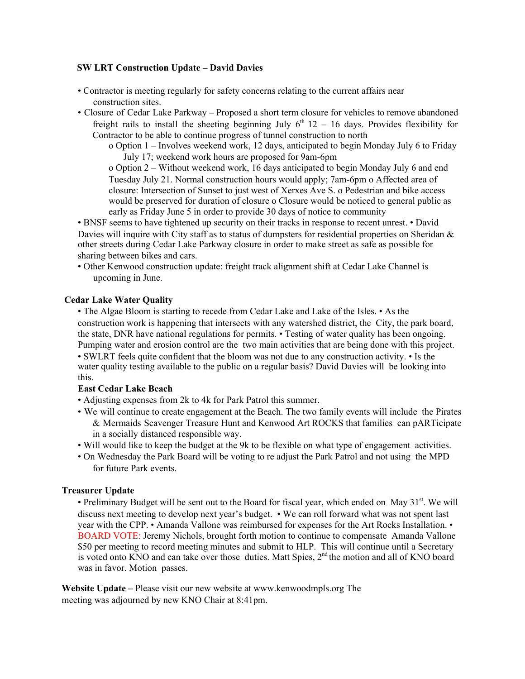#### **SW LRT Construction Update – David Davies**

- Contractor is meeting regularly for safety concerns relating to the current affairs near construction sites.
- Closure of Cedar Lake Parkway Proposed a short term closure for vehicles to remove abandoned freight rails to install the sheeting beginning July  $6<sup>th</sup> 12 - 16$  days. Provides flexibility for Contractor to be able to continue progress of tunnel construction to north
	- o Option 1 Involves weekend work, 12 days, anticipated to begin Monday July 6 to Friday July 17; weekend work hours are proposed for 9am-6pm

o Option 2 – Without weekend work, 16 days anticipated to begin Monday July 6 and end Tuesday July 21. Normal construction hours would apply; 7am-6pm o Affected area of closure: Intersection of Sunset to just west of Xerxes Ave S. o Pedestrian and bike access would be preserved for duration of closure o Closure would be noticed to general public as early as Friday June 5 in order to provide 30 days of notice to community

• BNSF seems to have tightened up security on their tracks in response to recent unrest. • David Davies will inquire with City staff as to status of dumpsters for residential properties on Sheridan  $\&$ other streets during Cedar Lake Parkway closure in order to make street as safe as possible for sharing between bikes and cars.

• Other Kenwood construction update: freight track alignment shift at Cedar Lake Channel is upcoming in June.

#### **Cedar Lake Water Quality**

• The Algae Bloom is starting to recede from Cedar Lake and Lake of the Isles. • As the construction work is happening that intersects with any watershed district, the City, the park board, the state, DNR have national regulations for permits. • Testing of water quality has been ongoing. Pumping water and erosion control are the two main activities that are being done with this project. • SWLRT feels quite confident that the bloom was not due to any construction activity. • Is the water quality testing available to the public on a regular basis? David Davies will be looking into this.

### **East Cedar Lake Beach**

- Adjusting expenses from 2k to 4k for Park Patrol this summer.
- We will continue to create engagement at the Beach. The two family events will include the Pirates & Mermaids Scavenger Treasure Hunt and Kenwood Art ROCKS that families can pARTicipate in a socially distanced responsible way.
- Will would like to keep the budget at the 9k to be flexible on what type of engagement activities.
- On Wednesday the Park Board will be voting to re adjust the Park Patrol and not using the MPD for future Park events.

#### **Treasurer Update**

• Preliminary Budget will be sent out to the Board for fiscal year, which ended on May 31<sup>st</sup>. We will discuss next meeting to develop next year's budget. • We can roll forward what was not spent last year with the CPP. • Amanda Vallone was reimbursed for expenses for the Art Rocks Installation. • BOARD VOTE: Jeremy Nichols, brought forth motion to continue to compensate Amanda Vallone \$50 per meeting to record meeting minutes and submit to HLP. This will continue until a Secretary is voted onto KNO and can take over those duties. Matt Spies, 2<sup>nd</sup> the motion and all of KNO board was in favor. Motion passes.

**Website Update –** Please visit our new website at www.kenwoodmpls.org The meeting was adjourned by new KNO Chair at 8:41pm.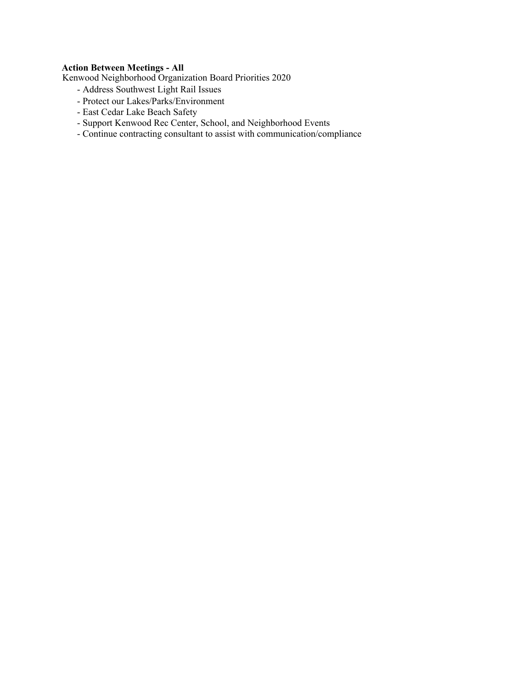# **Action Between Meetings - All**

Kenwood Neighborhood Organization Board Priorities 2020

- Address Southwest Light Rail Issues
- Protect our Lakes/Parks/Environment
- East Cedar Lake Beach Safety
- Support Kenwood Rec Center, School, and Neighborhood Events
- Continue contracting consultant to assist with communication/compliance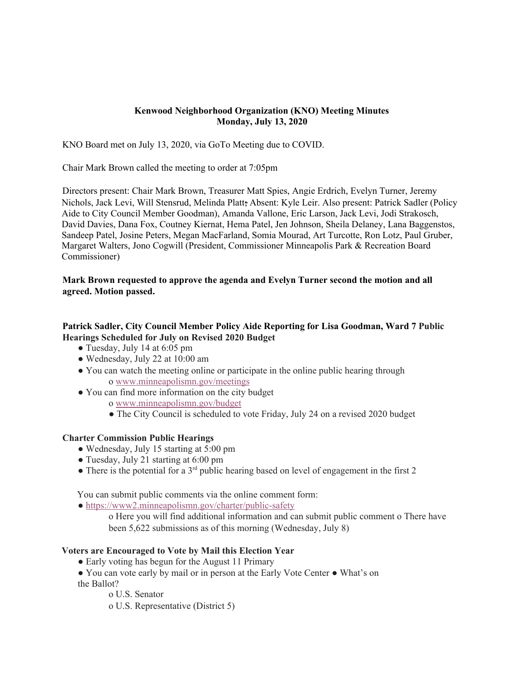## **Kenwood Neighborhood Organization (KNO) Meeting Minutes Monday, July 13, 2020**

KNO Board met on July 13, 2020, via GoTo Meeting due to COVID.

Chair Mark Brown called the meeting to order at 7:05pm

Directors present: Chair Mark Brown, Treasurer Matt Spies, Angie Erdrich, Evelyn Turner, Jeremy Nichols, Jack Levi, Will Stensrud, Melinda Platt; Absent: Kyle Leir. Also present: Patrick Sadler (Policy Aide to City Council Member Goodman), Amanda Vallone, Eric Larson, Jack Levi, Jodi Strakosch, David Davies, Dana Fox, Coutney Kiernat, Hema Patel, Jen Johnson, Sheila Delaney, Lana Baggenstos, Sandeep Patel, Josine Peters, Megan MacFarland, Somia Mourad, Art Turcotte, Ron Lotz, Paul Gruber, Margaret Walters, Jono Cogwill (President, Commissioner Minneapolis Park & Recreation Board Commissioner)

# **Mark Brown requested to approve the agenda and Evelyn Turner second the motion and all agreed. Motion passed.**

# **Patrick Sadler, City Council Member Policy Aide Reporting for Lisa Goodman, Ward 7 Public Hearings Scheduled for July on Revised 2020 Budget**

- Tuesday, July 14 at 6:05 pm
- Wednesday, July 22 at 10:00 am
- You can watch the meeting online or participate in the online public hearing through o www.minneapolismn.gov/meetings
- You can find more information on the city budget o www.minneapolismn.gov/budget
	- The City Council is scheduled to vote Friday, July 24 on a revised 2020 budget

### **Charter Commission Public Hearings**

- Wednesday, July 15 starting at 5:00 pm
- Tuesday, July 21 starting at 6:00 pm
- $\bullet$  There is the potential for a 3<sup>rd</sup> public hearing based on level of engagement in the first 2

You can submit public comments via the online comment form:

• https://www2.minneapolismn.gov/charter/public-safety

o Here you will find additional information and can submit public comment o There have been 5,622 submissions as of this morning (Wednesday, July 8)

### **Voters are Encouraged to Vote by Mail this Election Year**

• Early voting has begun for the August 11 Primary

• You can vote early by mail or in person at the Early Vote Center • What's on the Ballot?

o U.S. Senator

o U.S. Representative (District 5)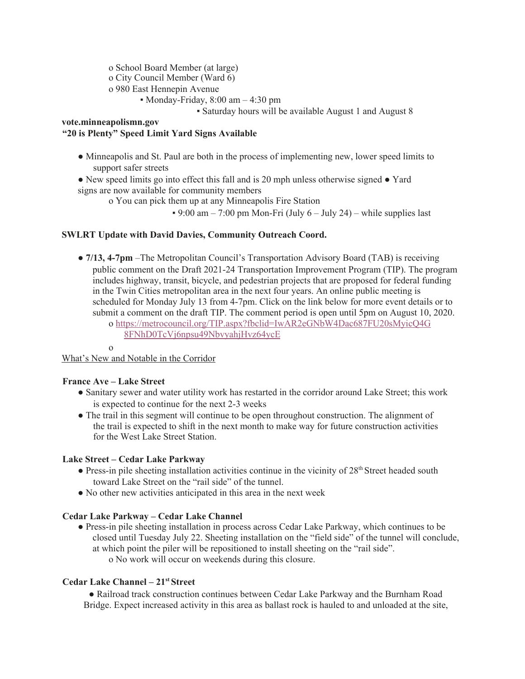o School Board Member (at large)

o City Council Member (Ward 6)

o 980 East Hennepin Avenue

• Monday-Friday,  $8:00 \text{ am} - 4:30 \text{ pm}$ 

▪ Saturday hours will be available August 1 and August 8

**vote.minneapolismn.gov**

## **"20 is Plenty" Speed Limit Yard Signs Available**

- Minneapolis and St. Paul are both in the process of implementing new, lower speed limits to support safer streets
- New speed limits go into effect this fall and is 20 mph unless otherwise signed Yard signs are now available for community members
	- o You can pick them up at any Minneapolis Fire Station
		- $\cdot$  9:00 am 7:00 pm Mon-Fri (July 6 July 24) while supplies last

# **SWLRT Update with David Davies, Community Outreach Coord.**

● **7/13, 4-7pm** –The Metropolitan Council's Transportation Advisory Board (TAB) is receiving public comment on the Draft 2021-24 Transportation Improvement Program (TIP). The program includes highway, transit, bicycle, and pedestrian projects that are proposed for federal funding in the Twin Cities metropolitan area in the next four years. An online public meeting is scheduled for Monday July 13 from 4-7pm. Click on the link below for more event details or to submit a comment on the draft TIP. The comment period is open until 5pm on August 10, 2020. o https://metrocouncil.org/TIP.aspx?fbclid=IwAR2eGNbW4Dac687FU20sMyicQ4G 8FNhD0TcVj6npsu49NbvyahjHvz64ycE

o

What's New and Notable in the Corridor

### **France Ave – Lake Street**

- Sanitary sewer and water utility work has restarted in the corridor around Lake Street; this work is expected to continue for the next 2-3 weeks
- The trail in this segment will continue to be open throughout construction. The alignment of the trail is expected to shift in the next month to make way for future construction activities for the West Lake Street Station.

# **Lake Street – Cedar Lake Parkway**

- $\bullet$  Press-in pile sheeting installation activities continue in the vicinity of  $28<sup>th</sup>$  Street headed south toward Lake Street on the "rail side" of the tunnel.
- No other new activities anticipated in this area in the next week

# **Cedar Lake Parkway – Cedar Lake Channel**

● Press-in pile sheeting installation in process across Cedar Lake Parkway, which continues to be closed until Tuesday July 22. Sheeting installation on the "field side" of the tunnel will conclude, at which point the piler will be repositioned to install sheeting on the "rail side". o No work will occur on weekends during this closure.

# **Cedar Lake Channel – 21 st Street**

● Railroad track construction continues between Cedar Lake Parkway and the Burnham Road Bridge. Expect increased activity in this area as ballast rock is hauled to and unloaded at the site,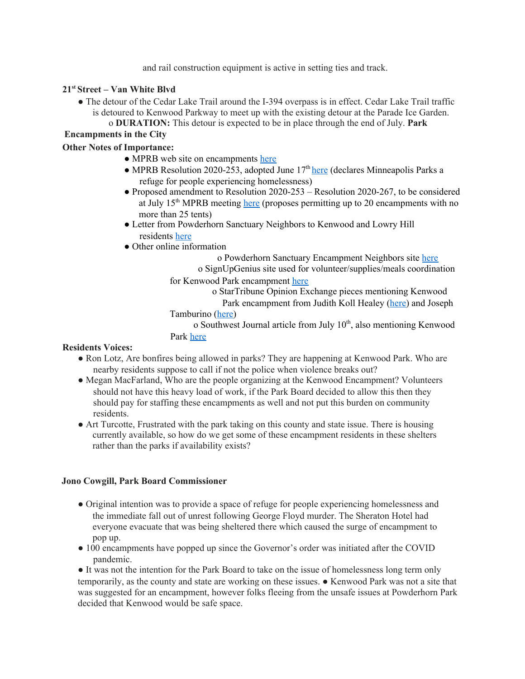and rail construction equipment is active in setting ties and track.

## **21 st Street – Van White Blvd**

- The detour of the Cedar Lake Trail around the I-394 overpass is in effect. Cedar Lake Trail traffic is detoured to Kenwood Parkway to meet up with the existing detour at the Parade Ice Garden.
	- o **DURATION:** This detour is expected to be in place through the end of July. **Park**

# **Encampments in the City**

## **Other Notes of Importance:**

- MPRB web site on encampments here
- MPRB Resolution 2020-253, adopted June  $17<sup>th</sup>$  here (declares Minneapolis Parks a refuge for people experiencing homelessness)
- Proposed amendment to Resolution 2020-253 Resolution 2020-267, to be considered at July 15<sup>th</sup> MPRB meeting here (proposes permitting up to 20 encampments with no more than 25 tents)
- Letter from Powderhorn Sanctuary Neighbors to Kenwood and Lowry Hill residents here
- Other online information

o Powderhorn Sanctuary Encampment Neighbors site here

o SignUpGenius site used for volunteer/supplies/meals coordination

for Kenwood Park encampment here

o StarTribune Opinion Exchange pieces mentioning Kenwood

Park encampment from Judith Koll Healey (here) and Joseph

Tamburino (here)

o Southwest Journal article from July 10<sup>th</sup>, also mentioning Kenwood Park here

# **Residents Voices:**

- **●** Ron Lotz, Are bonfires being allowed in parks? They are happening at Kenwood Park. Who are nearby residents suppose to call if not the police when violence breaks out?
- **●** Megan MacFarland, Who are the people organizing at the Kenwood Encampment? Volunteers should not have this heavy load of work, if the Park Board decided to allow this then they should pay for staffing these encampments as well and not put this burden on community residents.
- **●** Art Turcotte, Frustrated with the park taking on this county and state issue. There is housing currently available, so how do we get some of these encampment residents in these shelters rather than the parks if availability exists?

# **Jono Cowgill, Park Board Commissioner**

- Original intention was to provide a space of refuge for people experiencing homelessness and the immediate fall out of unrest following George Floyd murder. The Sheraton Hotel had everyone evacuate that was being sheltered there which caused the surge of encampment to pop up.
- 100 encampments have popped up since the Governor's order was initiated after the COVID pandemic.

● It was not the intention for the Park Board to take on the issue of homelessness long term only temporarily, as the county and state are working on these issues. ● Kenwood Park was not a site that was suggested for an encampment, however folks fleeing from the unsafe issues at Powderhorn Park decided that Kenwood would be safe space.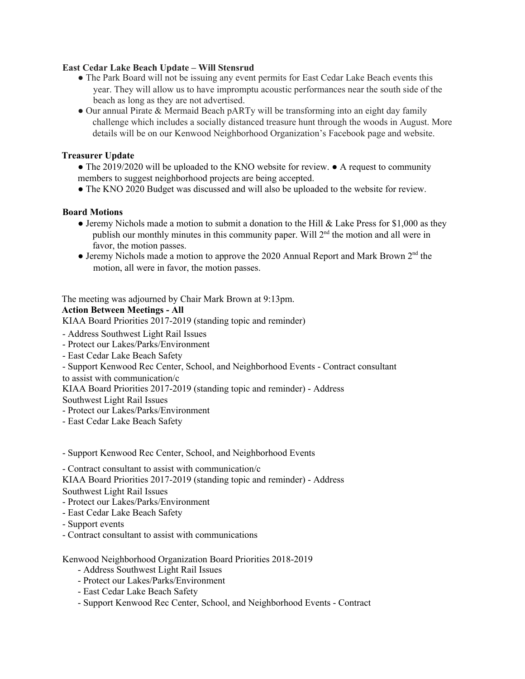### **East Cedar Lake Beach Update – Will Stensrud**

- **●** The Park Board will not be issuing any event permits for East Cedar Lake Beach events this year. They will allow us to have impromptu acoustic performances near the south side of the beach as long as they are not advertised.
- **●** Our annual Pirate & Mermaid Beach pARTy will be transforming into an eight day family challenge which includes a socially distanced treasure hunt through the woods in August. More details will be on our Kenwood Neighborhood Organization's Facebook page and website.

### **Treasurer Update**

- **●** The 2019/2020 will be uploaded to the KNO website for review. **●** A request to community members to suggest neighborhood projects are being accepted.
- **●** The KNO 2020 Budget was discussed and will also be uploaded to the website for review.

#### **Board Motions**

- **●** Jeremy Nichols made a motion to submit a donation to the Hill & Lake Press for \$1,000 as they publish our monthly minutes in this community paper. Will  $2<sup>nd</sup>$  the motion and all were in favor, the motion passes.
- Jeremy Nichols made a motion to approve the 2020 Annual Report and Mark Brown 2<sup>nd</sup> the motion, all were in favor, the motion passes.

The meeting was adjourned by Chair Mark Brown at 9:13pm.

#### **Action Between Meetings - All**

KIAA Board Priorities 2017-2019 (standing topic and reminder)

- Address Southwest Light Rail Issues

- Protect our Lakes/Parks/Environment
- East Cedar Lake Beach Safety

- Support Kenwood Rec Center, School, and Neighborhood Events - Contract consultant

to assist with communication/c

KIAA Board Priorities 2017-2019 (standing topic and reminder) - Address

Southwest Light Rail Issues

- Protect our Lakes/Parks/Environment
- East Cedar Lake Beach Safety

- Support Kenwood Rec Center, School, and Neighborhood Events

- Contract consultant to assist with communication/c

KIAA Board Priorities 2017-2019 (standing topic and reminder) - Address

Southwest Light Rail Issues

- Protect our Lakes/Parks/Environment
- East Cedar Lake Beach Safety
- Support events
- Contract consultant to assist with communications

Kenwood Neighborhood Organization Board Priorities 2018-2019

- Address Southwest Light Rail Issues
- Protect our Lakes/Parks/Environment
- East Cedar Lake Beach Safety
- Support Kenwood Rec Center, School, and Neighborhood Events Contract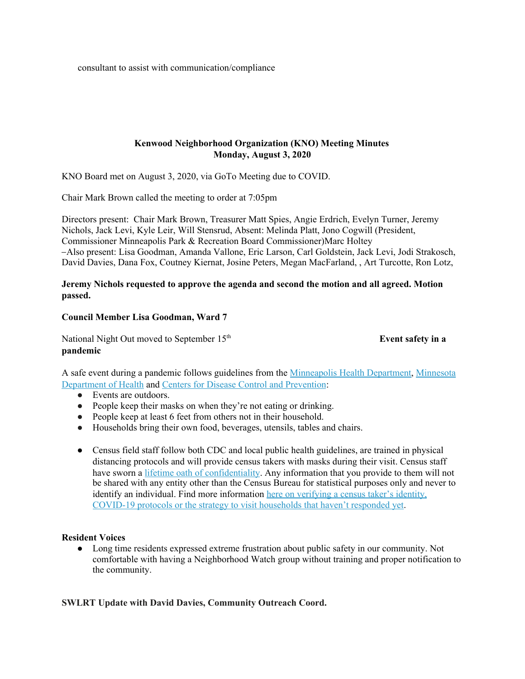consultant to assist with communication/compliance

### **Kenwood Neighborhood Organization (KNO) Meeting Minutes Monday, August 3, 2020**

KNO Board met on August 3, 2020, via GoTo Meeting due to COVID.

Chair Mark Brown called the meeting to order at 7:05pm

Directors present: Chair Mark Brown, Treasurer Matt Spies, Angie Erdrich, Evelyn Turner, Jeremy Nichols, Jack Levi, Kyle Leir, Will Stensrud, Absent: Melinda Platt, Jono Cogwill (President, Commissioner Minneapolis Park & Recreation Board Commissioner)Marc Holtey Also present: Lisa Goodman, Amanda Vallone, Eric Larson, Carl Goldstein, Jack Levi, Jodi Strakosch, David Davies, Dana Fox, Coutney Kiernat, Josine Peters, Megan MacFarland, , Art Turcotte, Ron Lotz,

### **Jeremy Nichols requested to approve the agenda and second the motion and all agreed. Motion passed.**

#### **Council Member Lisa Goodman, Ward 7**

National Night Out moved to September 15<sup>th</sup> **pandemic**

**Event safety in a** 

A safe event during a pandemic follows guidelines from the [Minneapolis](https://eur02.safelinks.protection.outlook.com/?url=http%3A%2F%2Fwww2.minneapolismn.gov%2Fhealth%2F%3Futm_content%3D%26utm_medium%3Demail%26utm_name%3D%26utm_source%3Dgovdelivery%26utm_term%3D&data=02%7C01%7C%7C07d314d631944c481af408d842d90bc1%7C84df9e7fe9f640afb435aaaaaaaaaaaa%7C1%7C0%7C637332847271131327&sdata=2pc7e1D7UjDuD6%2FxRpUDsLSqeNgCuJOkPyVluQfHZn8%3D&reserved=0) Health Department, [Minnesota](https://gcc01.safelinks.protection.outlook.com/?data=02%7C01%7Csarah.mckenzie%40minneapolismn.gov%7Cf84be4cbee8a4331937808d833f11e74%7C0bfb3f5ae8ea4d54b0212b2f910c715f%7C0%7C0%7C637316457986185489&reserved=0&sdata=Tlw3d80DwC%2Bzg0ChXn%2F5vKLIDqgr%2BAccyjkz2DZroxQ%3D&url=https%3A%2F%2Fwww.health.state.mn.us%2Fdiseases%2Fcoronavirus%2Fprevention.html%3Futm_content%3D%26utm_medium%3Demail%26utm_name%3D%26utm_source%3Dgovdelivery%26utm_term%3D&utm_content=&utm_medium=email&utm_name=&utm_source=govdelivery&utm_term=) [Department](https://gcc01.safelinks.protection.outlook.com/?data=02%7C01%7Csarah.mckenzie%40minneapolismn.gov%7Cf84be4cbee8a4331937808d833f11e74%7C0bfb3f5ae8ea4d54b0212b2f910c715f%7C0%7C0%7C637316457986185489&reserved=0&sdata=Tlw3d80DwC%2Bzg0ChXn%2F5vKLIDqgr%2BAccyjkz2DZroxQ%3D&url=https%3A%2F%2Fwww.health.state.mn.us%2Fdiseases%2Fcoronavirus%2Fprevention.html%3Futm_content%3D%26utm_medium%3Demail%26utm_name%3D%26utm_source%3Dgovdelivery%26utm_term%3D&utm_content=&utm_medium=email&utm_name=&utm_source=govdelivery&utm_term=) of Health and Centers for Disease Control and [Prevention](https://gcc01.safelinks.protection.outlook.com/?data=02%7C01%7Csarah.mckenzie%40minneapolismn.gov%7Cf84be4cbee8a4331937808d833f11e74%7C0bfb3f5ae8ea4d54b0212b2f910c715f%7C0%7C0%7C637316457986185489&reserved=0&sdata=duYZJ%2FMOg%2BxzzwpPUCg5w6faW24OBDZPYfhc4%2FOBPLo%3D&url=https%3A%2F%2Fwww.cdc.gov%2Fcoronavirus%2F2019-ncov%2Fprevent-getting-sick%2Fprevention.html%3Futm_content%3D%26utm_medium%3Demail%26utm_name%3D%26utm_source%3Dgovdelivery%26utm_term%3D&utm_content=&utm_medium=email&utm_name=&utm_source=govdelivery&utm_term=):

- Events are outdoors.
- People keep their masks on when they're not eating or drinking.
- People keep at least 6 feet from others not in their household.
- Households bring their own food, beverages, utensils, tables and chairs.
- Census field staff follow both CDC and local public health guidelines, are trained in physical distancing protocols and will provide census takers with masks during their visit. Census staff have sworn a lifetime oath of [confidentiality](https://eur02.safelinks.protection.outlook.com/?url=https%3A%2F%2Fwww.census.gov%2Flibrary%2Ffact-sheets%2F2019%2Fdec%2F2020-confidentiality.html%3Futm_content%3D%26utm_medium%3Demail%26utm_name%3D%26utm_source%3Dgovdelivery%26utm_term%3D&data=02%7C01%7C%7C07d314d631944c481af408d842d90bc1%7C84df9e7fe9f640afb435aaaaaaaaaaaa%7C1%7C0%7C637332847271051366&sdata=wJa078EDlR8NgjthWQjeLbm57loUs7sVEP7yaTALr64%3D&reserved=0). Any information that you provide to them will not be shared with any entity other than the Census Bureau for statistical purposes only and never to identify an individual. Find more information here on [verifying](https://eur02.safelinks.protection.outlook.com/?url=https%3A%2F%2Fcontent.govdelivery.com%2Faccounts%2FUSCENSUS%2Fbulletins%2F298084c&data=02%7C01%7C%7C07d314d631944c481af408d842d90bc1%7C84df9e7fe9f640afb435aaaaaaaaaaaa%7C1%7C0%7C637332847271061363&sdata=H4uvDzKZQFmy0%2FPAB2tvnaNeMvkWhCA5cRtxhn%2BS%2BmI%3D&reserved=0) a census taker's identity, COVID-19 protocols or the strategy to visit [households](https://eur02.safelinks.protection.outlook.com/?url=https%3A%2F%2Fcontent.govdelivery.com%2Faccounts%2FUSCENSUS%2Fbulletins%2F298084c&data=02%7C01%7C%7C07d314d631944c481af408d842d90bc1%7C84df9e7fe9f640afb435aaaaaaaaaaaa%7C1%7C0%7C637332847271061363&sdata=H4uvDzKZQFmy0%2FPAB2tvnaNeMvkWhCA5cRtxhn%2BS%2BmI%3D&reserved=0) that haven't responded yet.

### **Resident Voices**

● Long time residents expressed extreme frustration about public safety in our community. Not comfortable with having a Neighborhood Watch group without training and proper notification to the community.

### **SWLRT Update with David Davies, Community Outreach Coord.**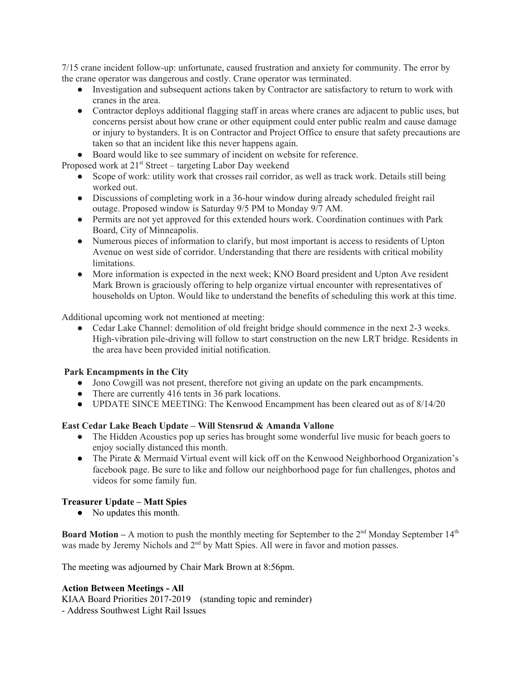7/15 crane incident follow-up: unfortunate, caused frustration and anxiety for community. The error by the crane operator was dangerous and costly. Crane operator was terminated.

- Investigation and subsequent actions taken by Contractor are satisfactory to return to work with cranes in the area.
- Contractor deploys additional flagging staff in areas where cranes are adjacent to public uses, but concerns persist about how crane or other equipment could enter public realm and cause damage or injury to bystanders. It is on Contractor and Project Office to ensure that safety precautions are taken so that an incident like this never happens again.
- Board would like to see summary of incident on website for reference.

Proposed work at 21<sup>st</sup> Street – targeting Labor Day weekend

- Scope of work: utility work that crosses rail corridor, as well as track work. Details still being worked out.
- Discussions of completing work in a 36-hour window during already scheduled freight rail outage. Proposed window is Saturday 9/5 PM to Monday 9/7 AM.
- Permits are not yet approved for this extended hours work. Coordination continues with Park Board, City of Minneapolis.
- Numerous pieces of information to clarify, but most important is access to residents of Upton Avenue on west side of corridor. Understanding that there are residents with critical mobility limitations.
- More information is expected in the next week; KNO Board president and Upton Ave resident Mark Brown is graciously offering to help organize virtual encounter with representatives of households on Upton. Would like to understand the benefits of scheduling this work at this time.

Additional upcoming work not mentioned at meeting:

• Cedar Lake Channel: demolition of old freight bridge should commence in the next 2-3 weeks. High-vibration pile-driving will follow to start construction on the new LRT bridge. Residents in the area have been provided initial notification.

### **Park Encampments in the City**

- Jono Cowgill was not present, therefore not giving an update on the park encampments.
- There are currently 416 tents in 36 park locations.
- UPDATE SINCE MEETING: The Kenwood Encampment has been cleared out as of 8/14/20

### **East Cedar Lake Beach Update – Will Stensrud & Amanda Vallone**

- The Hidden Acoustics pop up series has brought some wonderful live music for beach goers to enjoy socially distanced this month.
- The Pirate & Mermaid Virtual event will kick off on the Kenwood Neighborhood Organization's facebook page. Be sure to like and follow our neighborhood page for fun challenges, photos and videos for some family fun.

# **Treasurer Update – Matt Spies**

• No updates this month.

**Board Motion – A motion to push the monthly meeting for September to the**  $2<sup>nd</sup>$  **Monday September**  $14<sup>th</sup>$ was made by Jeremy Nichols and 2<sup>nd</sup> by Matt Spies. All were in favor and motion passes.

The meeting was adjourned by Chair Mark Brown at 8:56pm.

### **Action Between Meetings - All**

KIAA Board Priorities 2017-2019 (standing topic and reminder) - Address Southwest Light Rail Issues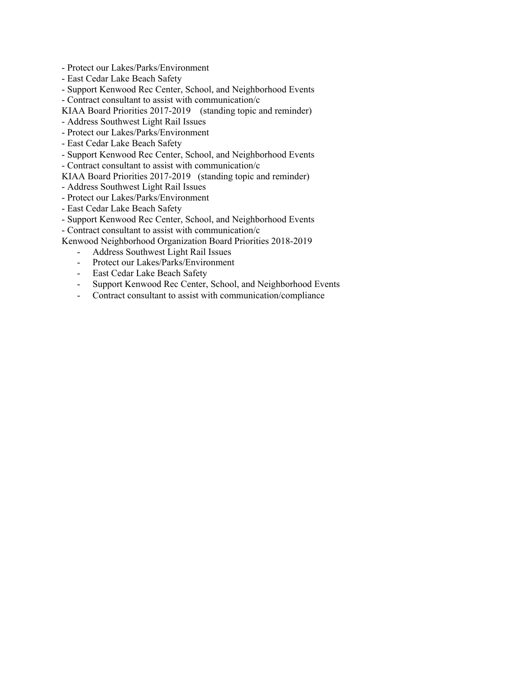- Protect our Lakes/Parks/Environment
- East Cedar Lake Beach Safety
- Support Kenwood Rec Center, School, and Neighborhood Events
- Contract consultant to assist with communication/c
- KIAA Board Priorities 2017-2019 (standing topic and reminder)
- Address Southwest Light Rail Issues
- Protect our Lakes/Parks/Environment
- East Cedar Lake Beach Safety
- Support Kenwood Rec Center, School, and Neighborhood Events
- Contract consultant to assist with communication/c
- KIAA Board Priorities 2017-2019 (standing topic and reminder)
- Address Southwest Light Rail Issues
- Protect our Lakes/Parks/Environment
- East Cedar Lake Beach Safety
- Support Kenwood Rec Center, School, and Neighborhood Events
- Contract consultant to assist with communication/c

Kenwood Neighborhood Organization Board Priorities 2018-2019

- Address Southwest Light Rail Issues
- Protect our Lakes/Parks/Environment
- East Cedar Lake Beach Safety
- Support Kenwood Rec Center, School, and Neighborhood Events
- Contract consultant to assist with communication/compliance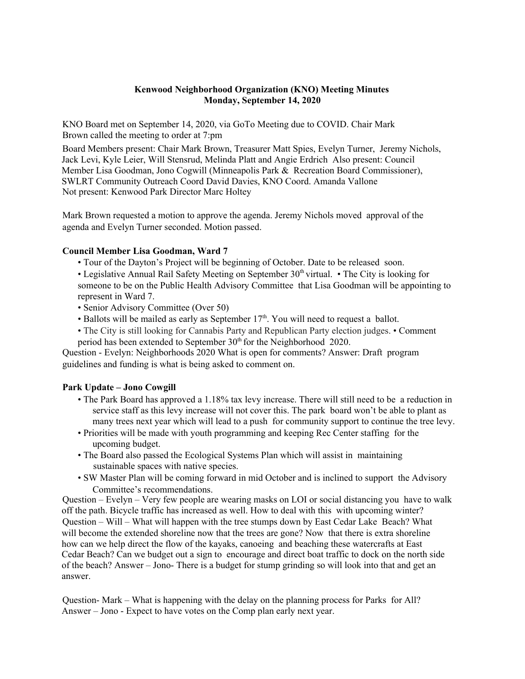### **Kenwood Neighborhood Organization (KNO) Meeting Minutes Monday, September 14, 2020**

KNO Board met on September 14, 2020, via GoTo Meeting due to COVID. Chair Mark Brown called the meeting to order at 7:pm

Board Members present: Chair Mark Brown, Treasurer Matt Spies, Evelyn Turner, Jeremy Nichols, Jack Levi, Kyle Leier, Will Stensrud, Melinda Platt and Angie Erdrich Also present: Council Member Lisa Goodman, Jono Cogwill (Minneapolis Park & Recreation Board Commissioner), SWLRT Community Outreach Coord David Davies, KNO Coord. Amanda Vallone Not present: Kenwood Park Director Marc Holtey

Mark Brown requested a motion to approve the agenda. Jeremy Nichols moved approval of the agenda and Evelyn Turner seconded. Motion passed.

#### **Council Member Lisa Goodman, Ward 7**

- Tour of the Dayton's Project will be beginning of October. Date to be released soon.
- Legislative Annual Rail Safety Meeting on September 30<sup>th</sup> virtual. The City is looking for someone to be on the Public Health Advisory Committee that Lisa Goodman will be appointing to represent in Ward 7.
- Senior Advisory Committee (Over 50)
- Ballots will be mailed as early as September  $17<sup>th</sup>$ . You will need to request a ballot.
- The City is still looking for Cannabis Party and Republican Party election judges. Comment period has been extended to September 30<sup>th</sup> for the Neighborhood 2020.

Question - Evelyn: Neighborhoods 2020 What is open for comments? Answer: Draft program guidelines and funding is what is being asked to comment on.

### **Park Update – Jono Cowgill**

- The Park Board has approved a 1.18% tax levy increase. There will still need to be a reduction in service staff as this levy increase will not cover this. The park board won't be able to plant as many trees next year which will lead to a push for community support to continue the tree levy.
- Priorities will be made with youth programming and keeping Rec Center staffing for the upcoming budget.
- The Board also passed the Ecological Systems Plan which will assist in maintaining sustainable spaces with native species.
- SW Master Plan will be coming forward in mid October and is inclined to support the Advisory Committee's recommendations.

Question – Evelyn – Very few people are wearing masks on LOI or social distancing you have to walk off the path. Bicycle traffic has increased as well. How to deal with this with upcoming winter? Question – Will – What will happen with the tree stumps down by East Cedar Lake Beach? What will become the extended shoreline now that the trees are gone? Now that there is extra shoreline how can we help direct the flow of the kayaks, canoeing and beaching these watercrafts at East Cedar Beach? Can we budget out a sign to encourage and direct boat traffic to dock on the north side of the beach? Answer – Jono- There is a budget for stump grinding so will look into that and get an answer.

Question- Mark – What is happening with the delay on the planning process for Parks for All? Answer – Jono - Expect to have votes on the Comp plan early next year.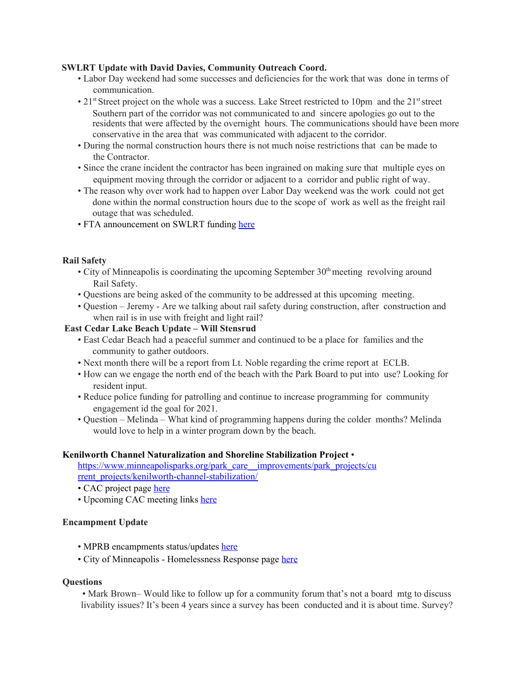#### **SWLRT Update with David Davies, Community Outreach Coord.**

- Labor Day weekend had some successes and deficiencies for the work that was done in terms of communication.
- 21<sup>st</sup> Street project on the whole was a success. Lake Street restricted to 10pm and the 21<sup>st</sup> street Southern part of the corridor was not communicated to and sincere apologies go out to the residents that were affected by the overnight hours. The communications should have been more conservative in the area that was communicated with adjacent to the corridor.
- During the normal construction hours there is not much noise restrictions that can be made to the Contractor.
- Since the crane incident the contractor has been ingrained on making sure that multiple eyes on equipment moving through the corridor or adjacent to a corridor and public right of way.
- The reason why over work had to happen over Labor Day weekend was the work could not get done within the normal construction hours due to the scope of work as well as the freight rail outage that was scheduled.
- FTA announcement on SWLRT funding here

#### **Rail Safety**

- $\cdot$  City of Minneapolis is coordinating the upcoming September 30<sup>th</sup> meeting revolving around Rail Safety.
- Questions are being asked of the community to be addressed at this upcoming meeting.
- Question Jeremy Are we talking about rail safety during construction, after construction and when rail is in use with freight and light rail?

#### **East Cedar Lake Beach Update – Will Stensrud**

- East Cedar Beach had a peaceful summer and continued to be a place for families and the community to gather outdoors.
- Next month there will be a report from Lt. Noble regarding the crime report at ECLB.
- How can we engage the north end of the beach with the Park Board to put into use? Looking for resident input.
- Reduce police funding for patrolling and continue to increase programming for community engagement id the goal for 2021.
- Question Melinda What kind of programming happens during the colder months? Melinda would love to help in a winter program down by the beach.

#### **Kenilworth Channel Naturalization and Shoreline Stabilization Project** •

https://www.minneapolisparks.org/park\_care\_\_improvements/park\_projects/cu rrent\_projects/kenilworth-channel-stabilization/

- CAC project page here
- Upcoming CAC meeting links here

### **Encampment Update**

- MPRB encampments status/updates here
- City of Minneapolis Homelessness Response page here

#### **Questions**

• Mark Brown– Would like to follow up for a community forum that's not a board mtg to discuss livability issues? It's been 4 years since a survey has been conducted and it is about time. Survey?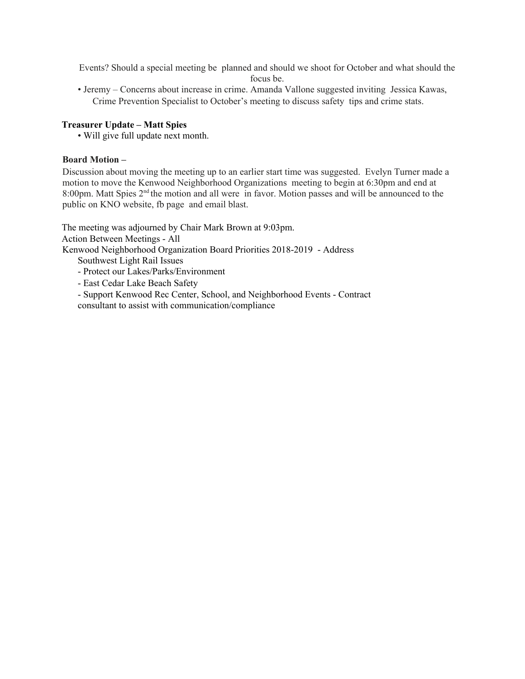Events? Should a special meeting be planned and should we shoot for October and what should the focus be.

• Jeremy – Concerns about increase in crime. Amanda Vallone suggested inviting Jessica Kawas, Crime Prevention Specialist to October's meeting to discuss safety tips and crime stats.

# **Treasurer Update – Matt Spies**

• Will give full update next month.

### **Board Motion –**

Discussion about moving the meeting up to an earlier start time was suggested. Evelyn Turner made a motion to move the Kenwood Neighborhood Organizations meeting to begin at 6:30pm and end at 8:00pm. Matt Spies 2<sup>nd</sup> the motion and all were in favor. Motion passes and will be announced to the public on KNO website, fb page and email blast.

The meeting was adjourned by Chair Mark Brown at 9:03pm. Action Between Meetings - All Kenwood Neighborhood Organization Board Priorities 2018-2019 - Address

Southwest Light Rail Issues

- Protect our Lakes/Parks/Environment
- East Cedar Lake Beach Safety
- Support Kenwood Rec Center, School, and Neighborhood Events Contract consultant to assist with communication/compliance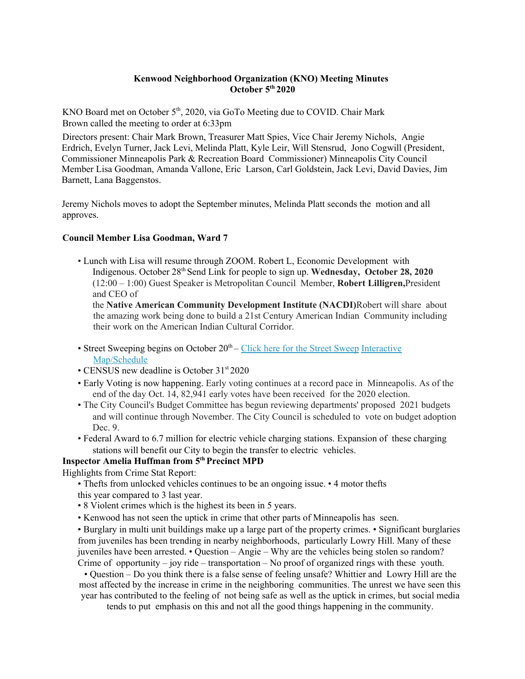### **Kenwood Neighborhood Organization (KNO) Meeting Minutes October 5 th 2020**

KNO Board met on October 5<sup>th</sup>, 2020, via GoTo Meeting due to COVID. Chair Mark Brown called the meeting to order at 6:33pm

Directors present: Chair Mark Brown, Treasurer Matt Spies, Vice Chair Jeremy Nichols, Angie Erdrich, Evelyn Turner, Jack Levi, Melinda Platt, Kyle Leir, Will Stensrud, Jono Cogwill (President, Commissioner Minneapolis Park & Recreation Board Commissioner) Minneapolis City Council Member Lisa Goodman, Amanda Vallone, Eric Larson, Carl Goldstein, Jack Levi, David Davies, Jim Barnett, Lana Baggenstos.

Jeremy Nichols moves to adopt the September minutes, Melinda Platt seconds the motion and all approves.

### **Council Member Lisa Goodman, Ward 7**

• Lunch with Lisa will resume through ZOOM. Robert L, Economic Development with Indigenous. October 28<sup>th</sup> Send Link for people to sign up. Wednesday, October 28, 2020 (12:00 – 1:00) Guest Speaker is Metropolitan Council Member, **Robert Lilligren,**President and CEO of

the **Native American Community Development Institute (NACDI)**Robert will share about the amazing work being done to build a 21st Century American Indian Community including their work on the American Indian Cultural Corridor.

- Street Sweeping begins on October 20<sup>th</sup> Click here for the Street Sweep Interactive Map/Schedule
- CENSUS new deadline is October 31st 2020
- Early Voting is now happening. Early voting continues at a record pace in Minneapolis. As of the end of the day Oct. 14, 82,941 early votes have been received for the 2020 election.
- The City Council's Budget Committee has begun reviewing departments' proposed 2021 budgets and will continue through November. The City Council is scheduled to vote on budget adoption Dec. 9.
- Federal Award to 6.7 million for electric vehicle charging stations. Expansion of these charging stations will benefit our City to begin the transfer to electric vehicles.

### **Inspector Amelia Huffman from 5 thPrecinct MPD**

Highlights from Crime Stat Report:

- Thefts from unlocked vehicles continues to be an ongoing issue. 4 motor thefts this year compared to 3 last year.
- 8 Violent crimes which is the highest its been in 5 years.
- Kenwood has not seen the uptick in crime that other parts of Minneapolis has seen.

• Burglary in multi unit buildings make up a large part of the property crimes. • Significant burglaries from juveniles has been trending in nearby neighborhoods, particularly Lowry Hill. Many of these juveniles have been arrested. • Question – Angie – Why are the vehicles being stolen so random? Crime of opportunity – joy ride – transportation – No proof of organized rings with these youth.

• Question – Do you think there is a false sense of feeling unsafe? Whittier and Lowry Hill are the most affected by the increase in crime in the neighboring communities. The unrest we have seen this year has contributed to the feeling of not being safe as well as the uptick in crimes, but social media

tends to put emphasis on this and not all the good things happening in the community.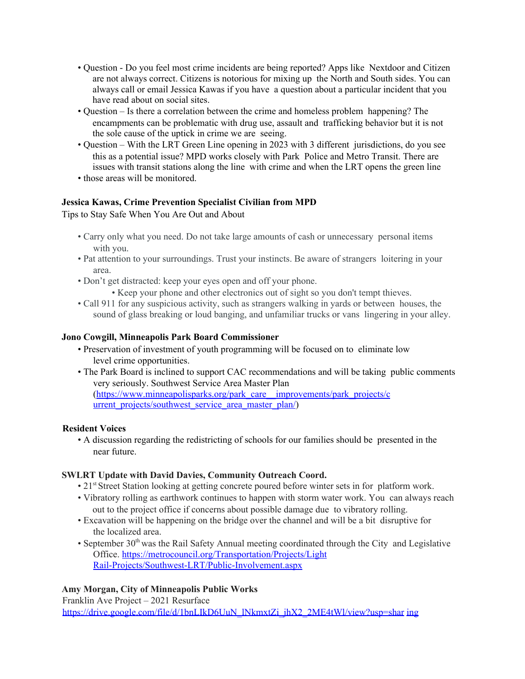- Question Do you feel most crime incidents are being reported? Apps like Nextdoor and Citizen are not always correct. Citizens is notorious for mixing up the North and South sides. You can always call or email Jessica Kawas if you have a question about a particular incident that you have read about on social sites.
- Question Is there a correlation between the crime and homeless problem happening? The encampments can be problematic with drug use, assault and trafficking behavior but it is not the sole cause of the uptick in crime we are seeing.
- Question With the LRT Green Line opening in 2023 with 3 different jurisdictions, do you see this as a potential issue? MPD works closely with Park Police and Metro Transit. There are issues with transit stations along the line with crime and when the LRT opens the green line
- those areas will be monitored.

# **Jessica Kawas, Crime Prevention Specialist Civilian from MPD**

Tips to Stay Safe When You Are Out and About

- Carry only what you need. Do not take large amounts of cash or unnecessary personal items with you.
- Pat attention to your surroundings. Trust your instincts. Be aware of strangers loitering in your area.
- Don't get distracted: keep your eyes open and off your phone.
	- Keep your phone and other electronics out of sight so you don't tempt thieves.
- Call 911 for any suspicious activity, such as strangers walking in yards or between houses, the sound of glass breaking or loud banging, and unfamiliar trucks or vans lingering in your alley.

# **Jono Cowgill, Minneapolis Park Board Commissioner**

- Preservation of investment of youth programming will be focused on to eliminate low level crime opportunities.
- The Park Board is inclined to support CAC recommendations and will be taking public comments very seriously. Southwest Service Area Master Plan (https://www.minneapolisparks.org/park\_care\_\_improvements/park\_projects/c urrent\_projects/southwest\_service\_area\_master\_plan/)

### **Resident Voices**

• A discussion regarding the redistricting of schools for our families should be presented in the near future.

### **SWLRT Update with David Davies, Community Outreach Coord.**

- 21<sup>st</sup> Street Station looking at getting concrete poured before winter sets in for platform work.
- Vibratory rolling as earthwork continues to happen with storm water work. You can always reach out to the project office if concerns about possible damage due to vibratory rolling.
- Excavation will be happening on the bridge over the channel and will be a bit disruptive for the localized area.
- September 30<sup>th</sup> was the Rail Safety Annual meeting coordinated through the City and Legislative Office. https://metrocouncil.org/Transportation/Projects/Light Rail-Projects/Southwest-LRT/Public-Involvement.aspx

# **Amy Morgan, City of Minneapolis Public Works**

Franklin Ave Project – 2021 Resurface https://drive.google.com/file/d/1bnLIkD6UuN\_lNkmxtZi\_jhX2\_2ME4tWl/view?usp=shar ing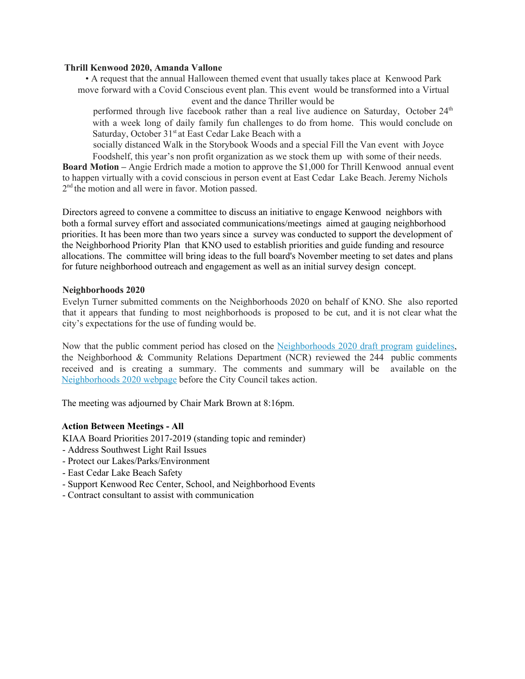#### **Thrill Kenwood 2020, Amanda Vallone**

• A request that the annual Halloween themed event that usually takes place at Kenwood Park move forward with a Covid Conscious event plan. This event would be transformed into a Virtual event and the dance Thriller would be

performed through live facebook rather than a real live audience on Saturday, October 24<sup>th</sup> with a week long of daily family fun challenges to do from home. This would conclude on Saturday, October 31<sup>st</sup> at East Cedar Lake Beach with a

socially distanced Walk in the Storybook Woods and a special Fill the Van event with Joyce Foodshelf, this year's non profit organization as we stock them up with some of their needs.

**Board Motion –** Angie Erdrich made a motion to approve the \$1,000 for Thrill Kenwood annual event to happen virtually with a covid conscious in person event at East Cedar Lake Beach. Jeremy Nichols 2<sup>nd</sup> the motion and all were in favor. Motion passed.

Directors agreed to convene a committee to discuss an initiative to engage Kenwood neighbors with both a formal survey effort and associated communications/meetings aimed at gauging neighborhood priorities. It has been more than two years since a survey was conducted to support the development of the Neighborhood Priority Plan that KNO used to establish priorities and guide funding and resource allocations. The committee will bring ideas to the full board's November meeting to set dates and plans for future neighborhood outreach and engagement as well as an initial survey design concept.

### **Neighborhoods 2020**

Evelyn Turner submitted comments on the Neighborhoods 2020 on behalf of KNO. She also reported that it appears that funding to most neighborhoods is proposed to be cut, and it is not clear what the city's expectations for the use of funding would be.

Now that the public comment period has closed on the Neighborhoods 2020 draft program guidelines, the Neighborhood & Community Relations Department (NCR) reviewed the 244 public comments received and is creating a summary. The comments and summary will be available on the Neighborhoods 2020 webpage before the City Council takes action.

The meeting was adjourned by Chair Mark Brown at 8:16pm.

### **Action Between Meetings - All**

KIAA Board Priorities 2017-2019 (standing topic and reminder)

- Address Southwest Light Rail Issues
- Protect our Lakes/Parks/Environment
- East Cedar Lake Beach Safety
- Support Kenwood Rec Center, School, and Neighborhood Events
- Contract consultant to assist with communication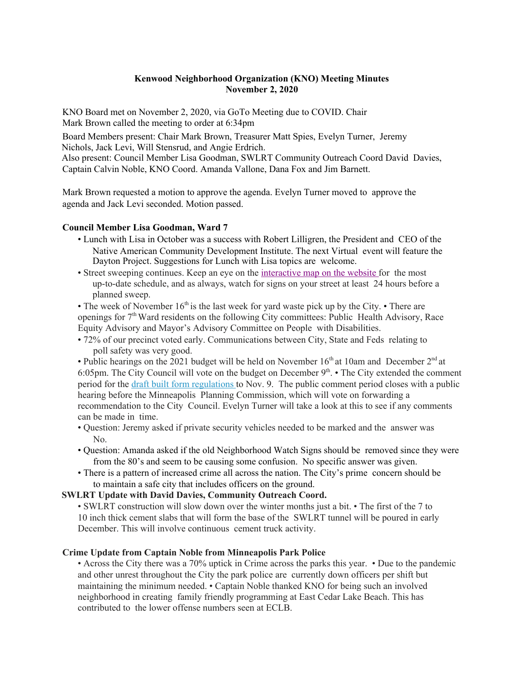# **Kenwood Neighborhood Organization (KNO) Meeting Minutes November 2, 2020**

KNO Board met on November 2, 2020, via GoTo Meeting due to COVID. Chair Mark Brown called the meeting to order at 6:34pm

Board Members present: Chair Mark Brown, Treasurer Matt Spies, Evelyn Turner, Jeremy Nichols, Jack Levi, Will Stensrud, and Angie Erdrich. Also present: Council Member Lisa Goodman, SWLRT Community Outreach Coord David Davies, Captain Calvin Noble, KNO Coord. Amanda Vallone, Dana Fox and Jim Barnett.

Mark Brown requested a motion to approve the agenda. Evelyn Turner moved to approve the agenda and Jack Levi seconded. Motion passed.

### **Council Member Lisa Goodman, Ward 7**

- Lunch with Lisa in October was a success with Robert Lilligren, the President and CEO of the Native American Community Development Institute. The next Virtual event will feature the Dayton Project. Suggestions for Lunch with Lisa topics are welcome.
- Street sweeping continues. Keep an eye on the interactive map on the website for the most up-to-date schedule, and as always, watch for signs on your street at least 24 hours before a planned sweep.

• The week of November  $16<sup>th</sup>$  is the last week for yard waste pick up by the City. • There are openings for 7<sup>th</sup> Ward residents on the following City committees: Public Health Advisory, Race Equity Advisory and Mayor's Advisory Committee on People with Disabilities.

• 72% of our precinct voted early. Communications between City, State and Feds relating to poll safety was very good.

• Public hearings on the 2021 budget will be held on November  $16<sup>th</sup>$  at 10am and December  $2<sup>nd</sup>$  at 6:05pm. The City Council will vote on the budget on December  $9<sup>th</sup>$ . • The City extended the comment period for the draft built form regulations to Nov. 9. The public comment period closes with a public hearing before the Minneapolis Planning Commission, which will vote on forwarding a recommendation to the City Council. Evelyn Turner will take a look at this to see if any comments can be made in time.

- Question: Jeremy asked if private security vehicles needed to be marked and the answer was No.
- Question: Amanda asked if the old Neighborhood Watch Signs should be removed since they were from the 80's and seem to be causing some confusion. No specific answer was given.
- There is a pattern of increased crime all across the nation. The City's prime concern should be to maintain a safe city that includes officers on the ground.

### **SWLRT Update with David Davies, Community Outreach Coord.**

• SWLRT construction will slow down over the winter months just a bit. • The first of the 7 to 10 inch thick cement slabs that will form the base of the SWLRT tunnel will be poured in early December. This will involve continuous cement truck activity.

# **Crime Update from Captain Noble from Minneapolis Park Police**

• Across the City there was a 70% uptick in Crime across the parks this year. • Due to the pandemic and other unrest throughout the City the park police are currently down officers per shift but maintaining the minimum needed. • Captain Noble thanked KNO for being such an involved neighborhood in creating family friendly programming at East Cedar Lake Beach. This has contributed to the lower offense numbers seen at ECLB.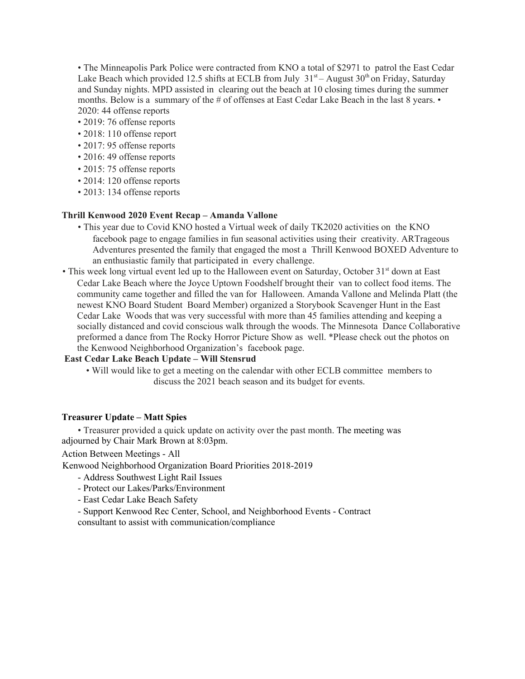• The Minneapolis Park Police were contracted from KNO a total of \$2971 to patrol the East Cedar Lake Beach which provided 12.5 shifts at ECLB from July  $31<sup>st</sup> -$  August  $30<sup>th</sup>$  on Friday, Saturday and Sunday nights. MPD assisted in clearing out the beach at 10 closing times during the summer months. Below is a summary of the # of offenses at East Cedar Lake Beach in the last 8 years. • 2020: 44 offense reports

- 2019: 76 offense reports
- 2018: 110 offense report
- 2017: 95 offense reports
- 2016: 49 offense reports
- 2015: 75 offense reports
- 2014: 120 offense reports
- 2013: 134 offense reports

#### **Thrill Kenwood 2020 Event Recap – Amanda Vallone**

- This year due to Covid KNO hosted a Virtual week of daily TK2020 activities on the KNO facebook page to engage families in fun seasonal activities using their creativity. ARTrageous Adventures presented the family that engaged the most a Thrill Kenwood BOXED Adventure to an enthusiastic family that participated in every challenge.
- This week long virtual event led up to the Halloween event on Saturday, October 31<sup>st</sup> down at East Cedar Lake Beach where the Joyce Uptown Foodshelf brought their van to collect food items. The community came together and filled the van for Halloween. Amanda Vallone and Melinda Platt (the newest KNO Board Student Board Member) organized a Storybook Scavenger Hunt in the East Cedar Lake Woods that was very successful with more than 45 families attending and keeping a socially distanced and covid conscious walk through the woods. The Minnesota Dance Collaborative preformed a dance from The Rocky Horror Picture Show as well. \*Please check out the photos on the Kenwood Neighborhood Organization's facebook page.

### **East Cedar Lake Beach Update – Will Stensrud**

• Will would like to get a meeting on the calendar with other ECLB committee members to discuss the 2021 beach season and its budget for events.

#### **Treasurer Update – Matt Spies**

• Treasurer provided a quick update on activity over the past month. The meeting was adjourned by Chair Mark Brown at 8:03pm.

Action Between Meetings - All

Kenwood Neighborhood Organization Board Priorities 2018-2019

- Address Southwest Light Rail Issues
- Protect our Lakes/Parks/Environment
- East Cedar Lake Beach Safety

- Support Kenwood Rec Center, School, and Neighborhood Events - Contract consultant to assist with communication/compliance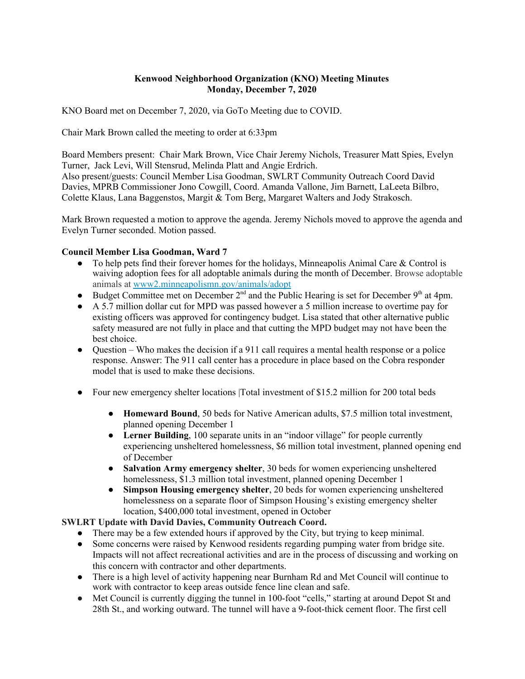# **Kenwood Neighborhood Organization (KNO) Meeting Minutes Monday, December 7, 2020**

KNO Board met on December 7, 2020, via GoTo Meeting due to COVID.

Chair Mark Brown called the meeting to order at 6:33pm

Board Members present: Chair Mark Brown, Vice Chair Jeremy Nichols, Treasurer Matt Spies, Evelyn Turner, Jack Levi, Will Stensrud, Melinda Platt and Angie Erdrich. Also present/guests: Council Member Lisa Goodman, SWLRT Community Outreach Coord David Davies, MPRB Commissioner Jono Cowgill, Coord. Amanda Vallone, Jim Barnett, LaLeeta Bilbro, Colette Klaus, Lana Baggenstos, Margit & Tom Berg, Margaret Walters and Jody Strakosch.

Mark Brown requested a motion to approve the agenda. Jeremy Nichols moved to approve the agenda and Evelyn Turner seconded. Motion passed.

# **Council Member Lisa Goodman, Ward 7**

- To help pets find their forever homes for the holidays, Minneapolis Animal Care  $\&$  Control is waiving adoption fees for all adoptable animals during the month of December. Browse adoptable animals at [www2.minneapolismn.gov/animals/adopt](http://www2.minneapolismn.gov/animals/adopt)
- Budget Committee met on December  $2<sup>nd</sup>$  and the Public Hearing is set for December 9<sup>th</sup> at 4pm.
- A 5.7 million dollar cut for MPD was passed however a 5 million increase to overtime pay for existing officers was approved for contingency budget. Lisa stated that other alternative public safety measured are not fully in place and that cutting the MPD budget may not have been the best choice.
- Question Who makes the decision if a 911 call requires a mental health response or a police response. Answer: The 911 call center has a procedure in place based on the Cobra responder model that is used to make these decisions.
- Four new emergency shelter locations |Total investment of \$15.2 million for 200 total beds
	- **Homeward Bound**, 50 beds for Native American adults, \$7.5 million total investment, planned opening December 1
	- **Lerner Building**, 100 separate units in an "indoor village" for people currently experiencing unsheltered homelessness, \$6 million total investment, planned opening end of December
	- **Salvation Army emergency shelter**, 30 beds for women experiencing unsheltered homelessness, \$1.3 million total investment, planned opening December 1
	- **Simpson Housing emergency shelter**, 20 beds for women experiencing unsheltered homelessness on a separate floor of Simpson Housing's existing emergency shelter location, \$400,000 total investment, opened in October

### **SWLRT Update with David Davies, Community Outreach Coord.**

- There may be a few extended hours if approved by the City, but trying to keep minimal.
- Some concerns were raised by Kenwood residents regarding pumping water from bridge site. Impacts will not affect recreational activities and are in the process of discussing and working on this concern with contractor and other departments.
- There is a high level of activity happening near Burnham Rd and Met Council will continue to work with contractor to keep areas outside fence line clean and safe.
- Met Council is currently digging the tunnel in 100-foot "cells," starting at around Depot St and 28th St., and working outward. The tunnel will have a 9-foot-thick cement floor. The first cell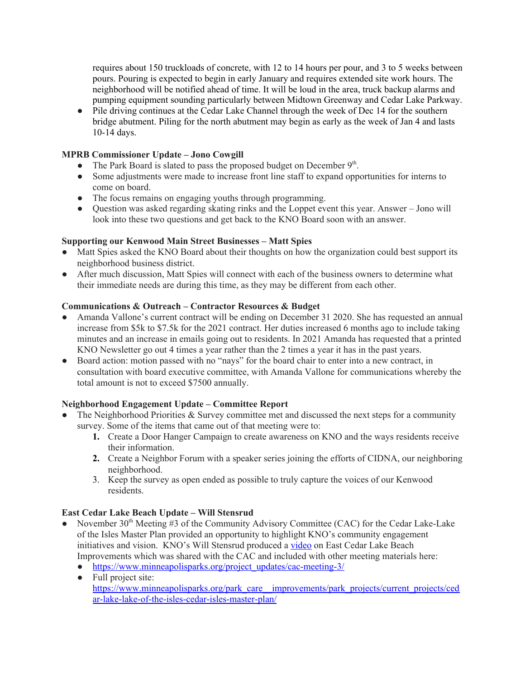requires about 150 truckloads of concrete, with 12 to 14 hours per pour, and 3 to 5 weeks between pours. Pouring is expected to begin in early January and requires extended site work hours. The neighborhood will be notified ahead of time. It will be loud in the area, truck backup alarms and pumping equipment sounding particularly between Midtown Greenway and Cedar Lake Parkway.

• Pile driving continues at the Cedar Lake Channel through the week of Dec 14 for the southern bridge abutment. Piling for the north abutment may begin as early as the week of Jan 4 and lasts 10-14 days.

# **MPRB Commissioner Update – Jono Cowgill**

- The Park Board is slated to pass the proposed budget on December 9<sup>th</sup>.
- **●** Some adjustments were made to increase front line staff to expand opportunities for interns to come on board.
- **●** The focus remains on engaging youths through programming.
- **●** Question was asked regarding skating rinks and the Loppet event this year. Answer Jono will look into these two questions and get back to the KNO Board soon with an answer.

## **Supporting our Kenwood Main Street Businesses – Matt Spies**

- **●** Matt Spies asked the KNO Board about their thoughts on how the organization could best support its neighborhood business district.
- **●** After much discussion, Matt Spies will connect with each of the business owners to determine what their immediate needs are during this time, as they may be different from each other.

### **Communications & Outreach – Contractor Resources & Budget**

- Amanda Vallone's current contract will be ending on December 31 2020. She has requested an annual increase from \$5k to \$7.5k for the 2021 contract. Her duties increased 6 months ago to include taking minutes and an increase in emails going out to residents. In 2021 Amanda has requested that a printed KNO Newsletter go out 4 times a year rather than the 2 times a year it has in the past years.
- Board action: motion passed with no "nays" for the board chair to enter into a new contract, in consultation with board executive committee, with Amanda Vallone for communications whereby the total amount is not to exceed \$7500 annually.

# **Neighborhood Engagement Update – Committee Report**

- The Neighborhood Priorities  $&$  Survey committee met and discussed the next steps for a community survey. Some of the items that came out of that meeting were to:
	- **1.** Create a Door Hanger Campaign to create awareness on KNO and the ways residents receive their information.
	- **2.** Create a Neighbor Forum with a speaker series joining the efforts of CIDNA, our neighboring neighborhood.
	- 3. Keep the survey as open ended as possible to truly capture the voices of our Kenwood residents.

### **East Cedar Lake Beach Update – Will Stensrud**

- November 30<sup>th</sup> Meeting #3 of the Community Advisory Committee (CAC) for the Cedar Lake-Lake of the Isles Master Plan provided an opportunity to highlight KNO's community engagement initiatives and vision. KNO's Will Stensrud produced a [video](https://www.youtube.com/watch?v=sgvap3QNUeI&feature=youtu.be) on East Cedar Lake Beach Improvements which was shared with the CAC and included with other meeting materials here:
	- [https://www.minneapolisparks.org/project\\_updates/cac-meeting-3/](https://www.minneapolisparks.org/project_updates/cac-meeting-3/)
	- Full project site: [https://www.minneapolisparks.org/park\\_care\\_\\_improvements/park\\_projects/current\\_projects/ced](https://www.minneapolisparks.org/park_care__improvements/park_projects/current_projects/cedar-lake-lake-of-the-isles-cedar-isles-master-plan/) [ar-lake-lake-of-the-isles-cedar-isles-master-plan/](https://www.minneapolisparks.org/park_care__improvements/park_projects/current_projects/cedar-lake-lake-of-the-isles-cedar-isles-master-plan/)